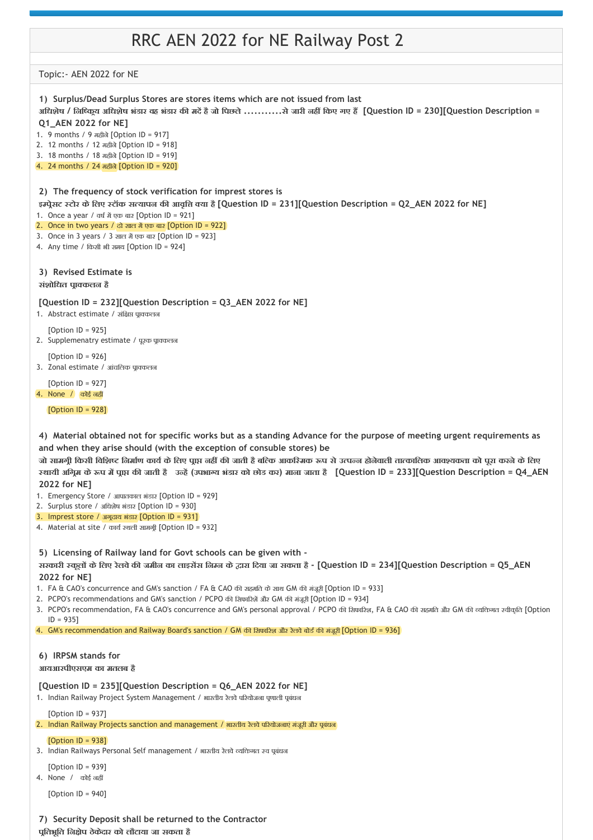# RRC AEN 2022 for NE Railway Post 2

Topic:‐ AEN 2022 for NE

**प ितभूित िन ेप ठेकेदार को लौटाया जा सकता है**

**1) Surplus/Dead Surplus Stores are stores items which are not issued from last 2) The frequency of stock verification for imprest stores is 3) Revised Estimate is 4) Material obtained not for specific works but as a standing Advance for the purpose of meeting urgent requirements as 5) Licensing of Railway land for Govt schools can be given with ‐ 6) IRPSM stands for 7) Security Deposit shall be returned to the Contractor** अधिशेष / निष्क्रिय अधिशेष भंडार वह भंडार की मदें है जो पिछले ...........से जारी नहीं किए गए हैं [Question ID = 230][Question Description = **Q1\_AEN 2022 for NE]** 1. 9 months / 9 महीने[Option ID = 917] 2. 12 months / 12 महीने[Option ID = 918] 3. 18 months / 18 महीने[Option ID = 919] 4. 24 months / 24 महीने[Option ID = 920] **इ प ेसट टोर केिलए टॉक स यापन क आवृि या है[Question ID = 231][Question Description = Q2\_AEN 2022 for NE]** 1. Once a year / वर्ष में एक बार [Option ID =  $9211$ 2. Once in two years / दो साल में एक बार [Option ID = 922] 3. Once in 3 years / 3 साल में एक बार [Option ID = 923] 4. Any time / िकसी भी समय [Option ID = 924] **संशोिधत प ा कलन है [Question ID = 232][Question Description = Q3\_AEN 2022 for NE]** 1. Abstract estimate / संक्षिप्त पाकलल [Option ID = 925] 2. Supplemenatry estimate / पूरक प्राक्लल  $[Option ID = 926]$ 3. Zonal estimate / आंचलिक पाक्कलन [Option ID = 927] 4. None / कोई नह [Option ID = 928] **and when they arise should (with the exception of consuble stores) be जो सामग ी िकसी िविश िनमा ण काय केिलए प ा नह क जाती हैबि क आकि मक प सेउ प न होनेवाली ता कािलक आव यकता को पूरा करनेकेिलए** स्थायी अगिम के रूप में पाप्त की जाती है उन्हें (उपभाग्य भंडार को छोड कर) माना जाता है [Question ID = 233][Question Description = Q4\_AEN **2022 for NE]** 1. Emergency Store / आपातकाल भंडार [Option ID = 929] 2. Surplus store / अिधशेष भंडार [Option ID = 930] 3. Imprest store / अगूदाय भंडार [Option ID = 931] 4. Material at site / कार्य स्थली सामग्री [Option ID = 932] **सरकारी कूल केिलए रेलवेक जमीन का लाइस स िन न के ारा िदया जा सकता है ‐ [Question ID = 234][Question Description = Q5\_AEN 2022 for NE]** 1. FA & CAO's concurrence and GM's sanction / FA & CAO की सहमति के साथ GM की मंजूरी [Option ID = 933] 2. PCPO's recommendations and GM's sanction / PCPO की सिफारिशें और GM की मंजूरी [Option ID = 934] 3. PCPO's recommendation, FA & CAO's concurrence and GM's personal approval / PCPO की सिफारिश, FA & CAO की सहमति और GM की व्यक्ति aरोकृति [Option  $ID = 9351$ 4. GM's recommendation and Railway Board's sanction / GM की सिफारिश और रेलवे बोर्ड की मंजूरी [Option ID = 936] **आयआरपीएसएम का मतलब है [Question ID = 235][Question Description = Q6\_AEN 2022 for NE]** 1. Indian Railway Project System Management / भारतीय रेलवे परियोजना पणाली पुबंधन [Option ID = 937] 2. Indian Railway Projects sanction and management / भारतीय रेलवे परियोजनाएं मंजूरी और पूबंधन  $[Option II = 938]$ 3. Indian Railways Personal Self management / भारतीय रेलवे व्यक्तिगत रच पबंधन [Option ID = 939] 4. None / कोई नह [Option ID = 940]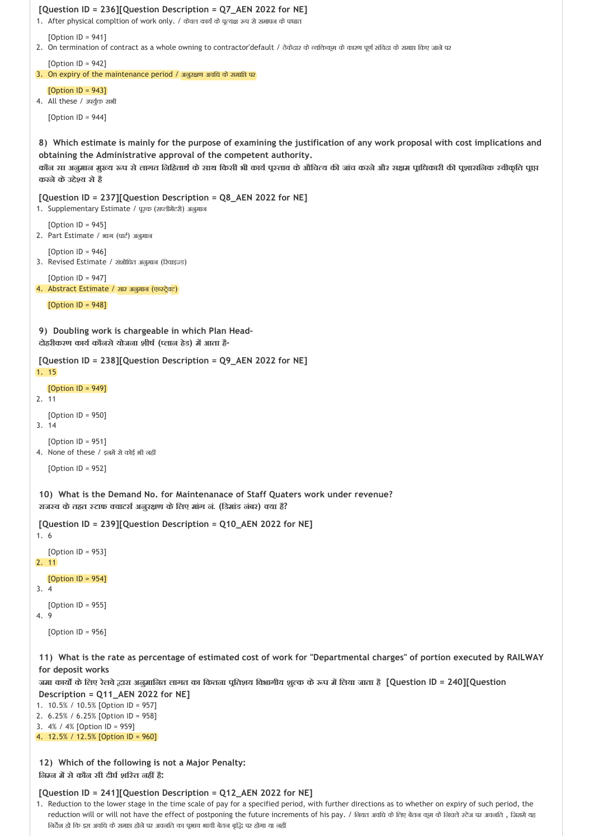```
8) 
Which estimate is mainly for the purpose of examining the justification of any work proposal with cost implications and
 9) 
Doubling work is chargeable in which Plan Head‐
 10) 
What is the Demand No. for Maintenanace of Staff Quaters work under revenue?
 11) 
What is the rate as percentage of estimated cost of work for "Departmental charges" of portion executed by RAILWAY
[Question ID = 236][Question Description = Q7_AEN 2022 for NE]
1. After physical compltion of work only. / केवल कार्य के प्रत्यक्ष रूप से समापन के पश्चात
   [Option ID = 941]
2. On termination of contract as a whole owning to contractor'default / ठेकेदार के व्यक्तिकुम के कारण पूर्ण संविदा के समाप्त किए जाने पर
   [Option ID = 942]
3. On expiry of the maintenance period \sqrt{3} अनुरक्षण अवधि के समाप्ति पर
   [Option ID = 943]4. All these / उपर्युक्त सभी
   [Option ID = 944]
obtaining the Administrative approval of the competent authority.
कोंन सा अनुमान मुख्य रूप से लागत निहितार्थ के साथ किसी भी कार्य पुस्ताव के औचित्य की जांच करने और सक्षम पाधिकारी की पुशासनिक स्वीकृति पाप्त
करनेकेउ े य सेहै
[Question ID = 237][Question Description = Q8_AEN 2022 for NE]
1. Supplementary Estimate / पूरक (सप्लीमेंटरी) अनुमान
   [Option ID = 945]
2. Part Estimate / भाग (पार्ट) अनुमान
   [Option ID = 946]
3. Revised Estimate / संशोधित अनुमान (रिवाइज्ड)
   [Option ID = 947]
4. Abstract Estimate / सार अनुमान (एळस्ट्रेक्ट)
   [Option ID = 948]
दोहरीकरण काय कौनसेयोजना शीष ( लान हेड) म आता है‐
[Question ID = 238][Question Description = Q9_AEN 2022 for NE]
1. 15
   [Option ID = 949]
2. 11
   [Option ID = 950]
3. 14
   [Option ID = 951]
4. None of these / इनमें से कोई भी नहीं
   [Option ID = 952]
राज व केतहत टाफ वाटस अनुर ण केिलए मांग नं. (िडमांड नंबर) या है?
[Question ID = 239][Question Description = Q10_AEN 2022 for NE]
1. 6
   [Option ID = 953]
2. 11
   [Option ID = 954]
3. 4
   [Option ID = 955]
4. 9
   [Option ID = 956]
for deposit works 
जमा काय केिलए रेलवे ारा अनुमािनत लागत का िकतना प ितशय िवभागीय शु क के प म िलया जाता है[Question ID = 240][Question
Description = Q11_AEN 2022 for NE]
```
- 1. 10.5% / 10.5% [Option ID = 957]
- 2. 6.25% / 6.25% [Option ID = 958]
- 3. 4% / 4% [Option ID = 959]
- 4. 12.5% / 12.5% [Option ID = 960]

**12) Which of the following is not a Major Penalty: िन न म सेकौन सी दीघ शि त नह है:**

#### **[Question ID = 241][Question Description = Q12\_AEN 2022 for NE]**

1. Reduction to the lower stage in the time scale of pay for a specified period, with further directions as to whether on expiry of such period, the reduction will or will not have the effect of postponing the future increments of his pay. / नियत अवधि के लिए बेतन कूम के निचले रहेज पर अवनति, जिसमे यह निर्देश हो कि इस अवधि के समाप्त होने पर अवनति का पूभाव भावी बेतन बृद्धि पर होगा या नहीं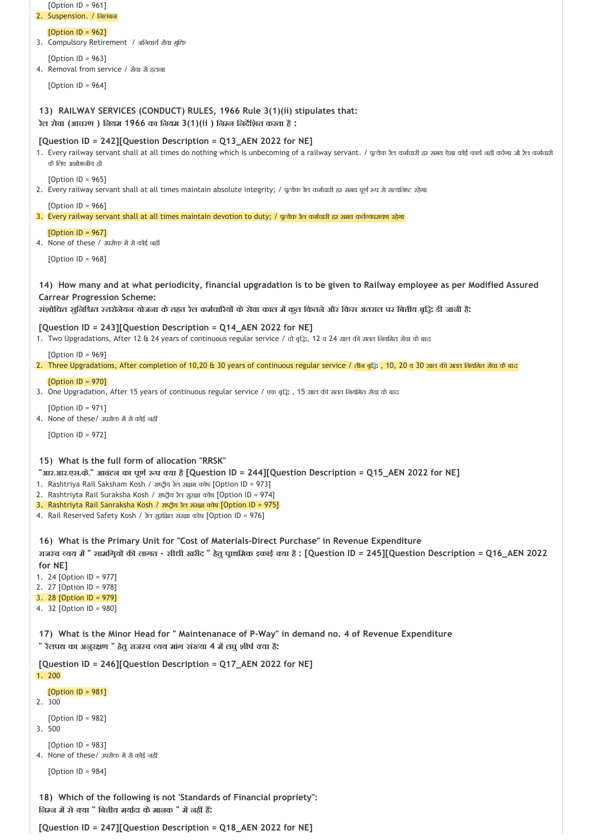| [Option ID = $961$ ]<br>2. Suspension. / निलंबन                                                                                                                                                                                                                                                                                                                                                                                                                                             |
|---------------------------------------------------------------------------------------------------------------------------------------------------------------------------------------------------------------------------------------------------------------------------------------------------------------------------------------------------------------------------------------------------------------------------------------------------------------------------------------------|
| [Option $ID = 962$ ]<br>3. Compulsory Retirement / अनिवार्य सेवा मुक्ति                                                                                                                                                                                                                                                                                                                                                                                                                     |
| [Option $ID = 963$ ]<br>4. Removal from service / सेवा से हटाना                                                                                                                                                                                                                                                                                                                                                                                                                             |
| [Option ID = $964$ ]                                                                                                                                                                                                                                                                                                                                                                                                                                                                        |
| 13) RAILWAY SERVICES (CONDUCT) RULES, 1966 Rule 3(1)(ii) stipulates that:<br>रेल सेवा (आचरण) लियम 1966 का लियम 3(1)(ii) लिम्ल लिर्देशित करता है :                                                                                                                                                                                                                                                                                                                                           |
| [Question ID = 242][Question Description = Q13_AEN 2022 for NE]<br>1. Every railway servant shall at all times do nothing which is unbecoming of a railway servant. / पूत्येक रेल कर्मचारी हर समय ऐसा कोई कार्य नहीं करेगा जो रेल कर्मचारी<br>के लिए अशोभनीय हो                                                                                                                                                                                                                             |
| [Option ID = $965$ ]<br>2. Every railway servant shall at all times maintain absolute integrity; / पूत्येक रेत कर्मचारी हर समय पूर्ण रूप से सत्यनिष्ट रहेगा                                                                                                                                                                                                                                                                                                                                 |
| [Option ID = $966$ ]<br>3. Every railway servant shall at all times maintain devotion to duty; / पूत्येक रेत कर्मचारी हर समय कर्तव्यपरायण रहेगा                                                                                                                                                                                                                                                                                                                                             |
| [Option $ID = 967$ ]                                                                                                                                                                                                                                                                                                                                                                                                                                                                        |
| 4. None of these / उपरोक्त में से कोई नहीं<br>[Option ID = $968$ ]                                                                                                                                                                                                                                                                                                                                                                                                                          |
|                                                                                                                                                                                                                                                                                                                                                                                                                                                                                             |
| 14) How many and at what periodicity, financial upgradation is to be given to Railway employee as per Modified Assured<br><b>Carrear Progression Scheme:</b><br>संशोधित सुनिश्चित स्तरोनेयन योजना के तहत रेल कर्मचारियों के सेवा काल में कुल कितने और किस अंतराल पर बितीय बृद्धि डी जानी हैं:                                                                                                                                                                                               |
| [Question ID = 243][Question Description = Q14_AEN 2022 for NE]<br>1. Two Upgradations, After 12 & 24 years of continuous regular service / ਨੀ ਕ੍ਰੜਿ, 12 ਕ 24 ਸ਼ਾਰ की ਸ਼ਰਗ ਰਿਬਸ਼ਿਰ ਸ਼ੇਗ कੇ बाद                                                                                                                                                                                                                                                                                              |
| [Option ID = $969$ ]<br>2. Three Upgradations, After completion of 10,20 & 30 years of continuous regular service / तीन बूद्धि, 10, 20 व 30 साल की सतत नियमित सेवा के बाद                                                                                                                                                                                                                                                                                                                   |
| [Option $ID = 970$ ]<br>3. One Upgradation, After 15 years of continuous regular service / एक बूद्धि, 15 साल की सतत नियमित सेवा के बाद                                                                                                                                                                                                                                                                                                                                                      |
| [Option ID = $971$ ]<br>4. None of these/ उपरोक्त में से कोई नहीं                                                                                                                                                                                                                                                                                                                                                                                                                           |
| [Option $ID = 972$ ]                                                                                                                                                                                                                                                                                                                                                                                                                                                                        |
| 15) What is the full form of allocation "RRSK"<br>"आर.आर.एस.के." आवंटन का पूर्ण रूप क्या है [Question ID = 244][Question Description = Q15_AEN 2022 for NE]<br>1. Rashtriya Rail Saksham Kosh / ਟਾਕ੍ਰੀਕ ਏਰ ਸ਼ਖ਼ੁਸ਼ ਰਹੇਥ [Option ID = 973]<br>2. Rashtriyta Rail Suraksha Kosh / राष्ट्रीय रेल सुरक्षा कोष [Option ID = 974]<br>3. Rashtriyta Rail Sanraksha Kosh / राष्ट्रीय रेल संरक्षा कोष [Option ID = 975]<br>4. Rail Reserved Safety Kosh / रेल सुरक्षित संरक्षा कोष [Option ID = 976] |
| 16) What is the Primary Unit for "Cost of Materials-Direct Purchase" in Revenue Expenditure                                                                                                                                                                                                                                                                                                                                                                                                 |
| राजस्व व्यय में " सामग्रियों की लागत - सीधी खरीद " हेतु पूाथमिक इकाई क्या है : [Question ID = 245][Question Description = Q16_AEN 2022<br>for NE]                                                                                                                                                                                                                                                                                                                                           |
| 1. 24 [Option ID = 977]<br>2. 27 [Option ID = 978]                                                                                                                                                                                                                                                                                                                                                                                                                                          |
| 3. 28 [Option $ID = 979$ ]<br>4. 32 [Option ID = 980]                                                                                                                                                                                                                                                                                                                                                                                                                                       |
| 17) What is the Minor Head for " Maintenanace of P-Way" in demand no. 4 of Revenue Expenditure<br>" रैलपथ का अनुरक्षण " हेतु राजस्व व्यय मांग संख्या 4 में लघु शीर्ष क्या है:                                                                                                                                                                                                                                                                                                               |
|                                                                                                                                                                                                                                                                                                                                                                                                                                                                                             |
| [Question ID = 246][Question Description = Q17_AEN 2022 for NE]<br>1.200                                                                                                                                                                                                                                                                                                                                                                                                                    |
| [Option $ID = 981$ ]<br>2. 300                                                                                                                                                                                                                                                                                                                                                                                                                                                              |
| [Option $ID = 982$ ]<br>3. 500                                                                                                                                                                                                                                                                                                                                                                                                                                                              |
| [Option $ID = 983$ ]<br>4. None of these/ उपरोक्त में से कोई नहीं                                                                                                                                                                                                                                                                                                                                                                                                                           |
| [Option $ID = 984$ ]                                                                                                                                                                                                                                                                                                                                                                                                                                                                        |

**[Question ID = 247][Question Description = Q18\_AEN 2022 for NE]**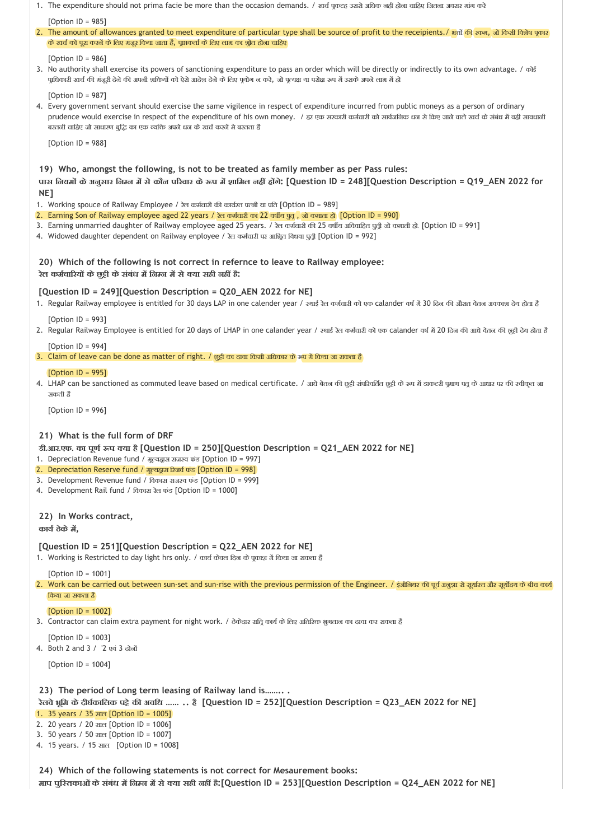| [Option ID = $985$ ]                                                                                                                                                                                                                                                                                                                                                                                                                                                                                                                                                                                                                                                                                                      |
|---------------------------------------------------------------------------------------------------------------------------------------------------------------------------------------------------------------------------------------------------------------------------------------------------------------------------------------------------------------------------------------------------------------------------------------------------------------------------------------------------------------------------------------------------------------------------------------------------------------------------------------------------------------------------------------------------------------------------|
| 2. The amount of allowances granted to meet expenditure of particular type shall be source of profit to the receipients. / अलों की रकम, जो किसी विशेष पूकार<br>के खर्च को पूरा करनें के लिए मंजूर किया जाता है, पूाप्तकर्ता के लिए लाभ का भ्रोत होना चाहिए                                                                                                                                                                                                                                                                                                                                                                                                                                                                |
| [Option ID = $986$ ]<br>3. No authority shall exercise its powers of sanctioning expenditure to pass an order which will be directly or indirectly to its own advantage. / $\sigma$<br>पूाधिकारी खर्च की मंजूरी देने की अपनी शक्तियों को ऐसे आदेश देने के लिए पूयोग न करे, जो पूत्यक्ष या परोक्ष रूप में उसके अपने लाभ में हो                                                                                                                                                                                                                                                                                                                                                                                             |
| [Option ID = $987$ ]<br>4. Every government servant should exercise the same vigilence in respect of expenditure incurred from public moneys as a person of ordinary<br>prudence would exercise in respect of the expenditure of his own money. । हर एक सरकारी कर्मचारी को सार्वजनिक धन से किए जाने वाले खर्च के संबंध में वही सावधानी<br>बरतनी चाहिए जो साधारण बुद्धि का एक व्यक्ति अपने धन के खर्च करनें मे बरतता हैं                                                                                                                                                                                                                                                                                                   |
| [Option $ID = 988$ ]                                                                                                                                                                                                                                                                                                                                                                                                                                                                                                                                                                                                                                                                                                      |
| 19) Who, amongst the following, is not to be treated as family member as per Pass rules:<br>पास लियमों के अनुसार निम्न में से कौन परिवार के रूप में शामिल नहीं होंगे: [Question ID = 248][Question Description = Q19_AEN 2022 for<br>NE]<br>1. Working spouce of Railway Employee / रेल कर्मचारी की कार्यरत पत्नी या पति [Option ID = 989]<br>2. Earning Son of Railway employee aged 22 years / रेल कर्मचारी का 22 वर्षीय पुत्र , जो कमाता डो [Option ID = 990]<br>3. Earning unmarried daughter of Railway employee aged 25 years. / ਇਹ ਰਸ਼ੀਗਈ ਹੀ 25 ਰਬੀਂਬ अविवाहित पुत्री जो ਰਸ਼ਸ਼ੀ हो. [Option ID = 991]<br>4. Widowed daughter dependent on Railway enployee / रेल कर्मचारी पर आश्रित विधवा पुत्री [Option ID = 992] |
| 20) Which of the following is not correct in refernce to leave to Railway employee:<br>रेल कर्मचारियों के छुट्टी के संबंध में निम्न में से क्या सही नहीं हैं:                                                                                                                                                                                                                                                                                                                                                                                                                                                                                                                                                             |
| [Question ID = 249][Question Description = Q20_AEN 2022 for NE]<br>1. Regular Railway employee is entitled for 30 days LAP in one calender year / ফ্যাई ইল কর্সবাহী কা एक calander বর্ष में 30 दिन की औंसत वेतन अवकाश देय ढोता है                                                                                                                                                                                                                                                                                                                                                                                                                                                                                         |
| [Option ID = 993]<br>2. Regular Railway Employee is entitled for 20 days of LHAP in one calander year / ফ্যাई ফৈ কর্মবাহী কা হক calander বর্ष में 20 दिन की आधे वेतन की छुट्टी देय ढोता है                                                                                                                                                                                                                                                                                                                                                                                                                                                                                                                                |
| [Option ID = 994]<br>3. Claim of leave can be done as matter of right. / छुट्टी का दावा किसी अधिकार के रूप में किया जा सकता है                                                                                                                                                                                                                                                                                                                                                                                                                                                                                                                                                                                            |
| [Option ID = $995$ ]<br>4. LHAP can be sanctioned as commuted leave based on medical certificate. / आये बेतन की छुटी संपरिवर्तित छुटी के रूप में डाकटरी पुमाण पतू के आधार पर की स्वीकृत जा<br>सकती हैं                                                                                                                                                                                                                                                                                                                                                                                                                                                                                                                    |
| [Option ID = 996]                                                                                                                                                                                                                                                                                                                                                                                                                                                                                                                                                                                                                                                                                                         |
| 21) What is the full form of DRF<br>डी.आर.एफ. का पूर्ण रूप क्या है [Question ID = 250][Question Description = Q21_AEN 2022 for NE]<br>1. Depreciation Revenue fund / मूल्यद्वास राजस्व फंड [Option ID = 997]<br>2. Depreciation Reserve fund / मूल्यद्वास रिजर्व फंड [Option ID = 998]<br>3. Development Revenue fund / विकास राजस्व फंड [Option ID = 999]<br>4. Development Rail fund / विकास रेत फंड [Option ID = 1000]                                                                                                                                                                                                                                                                                                 |
| 22) In Works contract,<br>कार्य ठेके में,                                                                                                                                                                                                                                                                                                                                                                                                                                                                                                                                                                                                                                                                                 |
| [Question ID = 251][Question Description = Q22_AEN 2022 for NE]<br>1. Working is Restricted to day light hrs only. / कार्य केवल दिन के पूकाश में किया जा सकता है                                                                                                                                                                                                                                                                                                                                                                                                                                                                                                                                                          |
| [Option ID = $1001$ ]<br>2. Work can be carried out between sun-set and sun-rise with the previous permission of the Engineer. / इंजीलियर की पूर्व अलूजा से सूर्याउत और सूर्योदय के बीच कार्य<br>किया जा सकता है                                                                                                                                                                                                                                                                                                                                                                                                                                                                                                          |
| [Option $ID = 1002$ ]<br>3. Contractor can claim extra payment for night work. / ठेकेदार रात्रि कार्य के लिए अतिरिक्त भुगतान का दावा कर सकता है                                                                                                                                                                                                                                                                                                                                                                                                                                                                                                                                                                           |
| [Option ID = $1003$ ]<br>4. Both 2 and 3 / '2 एवं 3 दोनों                                                                                                                                                                                                                                                                                                                                                                                                                                                                                                                                                                                                                                                                 |
| [Option ID = $1004$ ]                                                                                                                                                                                                                                                                                                                                                                                                                                                                                                                                                                                                                                                                                                     |
| 23) The period of Long term leasing of Railway land is<br>रेलवे भ्रूमि के दीर्घकालिक पट्टे की अवधि   है [Question ID = 252][Question Description = Q23_AEN 2022 for NE]<br>1. 35 years / 35 साल [Option ID = 1005]<br>2. 20 years / 20 साल [Option ID = 1006]<br>3. 50 years / 50 साल [Option ID = 1007]<br>4. 15 years. / 15 साल [Option ID = 1008]                                                                                                                                                                                                                                                                                                                                                                      |
| 24) Which of the following statements is not correct for Mesaurement books:<br>माप पुरितकाओं के संबंध में निम्न में से क्या सही नहीं हैं:[Question ID = 253][Question Description = Q24_AEN 2022 for NE]                                                                                                                                                                                                                                                                                                                                                                                                                                                                                                                  |

1. The expenditure should not prima facie be more than the occasion demands. / खर्च पूकटह उससे अधिक नहीं होना चाहिए जितना अवसर मांग करे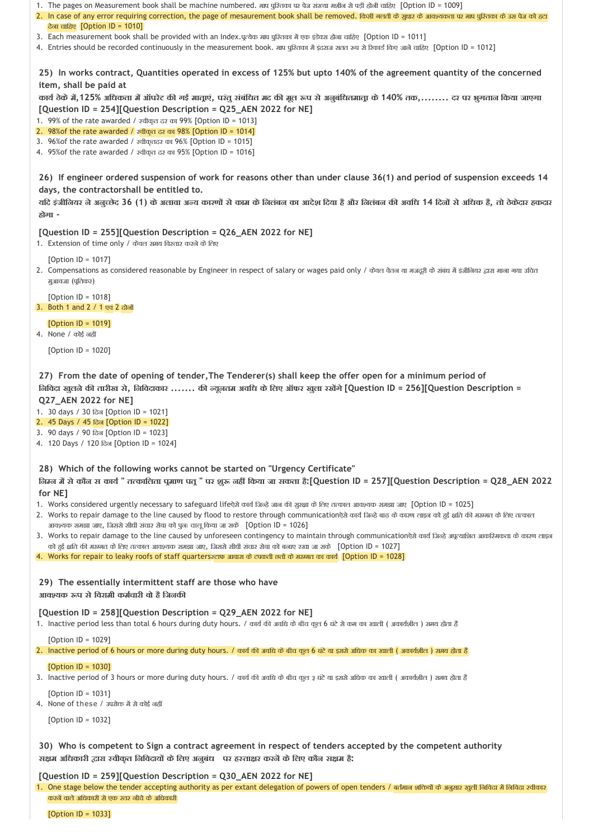- 1. The pages on Measurement book shall be machine numbered. माप पुरितका पर पेज संख्या मशीन से पड़ी होनी चाहिए [Option ID = 1009]
- 2. In case of any error requiring correction, the page of mesaurement book shall be removed. किसी गलती के आयश्यकता पर माप पुश्तिका के उस पेज को हटा देना चाहिए  $[Option ID = 1010]$
- 3. Each measurement book shall be provided with an Index.पूत्येक माप पुरितका में एक इंडेक्स होना चाहिए [Option ID = 1011]
- 4. Entries should be recorded continuously in the measurement book. माप पुरितका में इंदराज सतत रूप से रिकार्ड किए जाने चाढिए [Option ID = 1012]

**25) In works contract, Quantities operated in excess of 125% but upto 140% of the agreement quantity of the concerned item, shall be paid at** 

कार्य ठेके में,125% अधिकता में ऑपरेट की गई माताएं, परंतु संबंधित मद की मूल रूप से अनुबंधितमाता के 140% तक,........ दर पर भुगतान किया जाएगा **[Question ID = 254][Question Description = Q25\_AEN 2022 for NE]**

1. 99% of the rate awarded /  $x \overline{a}$  and 99% [Option ID = 1013]

- 2. 98%of the rate awarded / स्वीकृत दर का 98% [Option ID = 1014]
- 3. 96%of the rate awarded / वीकृतदर का 96% [Option ID = 1015]
- 4. 95%of the rate awarded / वीकृत दर का 95% [Option ID = 1016]

**26) If engineer ordered suspension of work for reasons other than under clause 36(1) and period of suspension exceeds 14 days, the contractorshall be entitled to.**

यदि इंजीनियर ने अनुच्छेद 36 (1) के अलावा अन्य कारणों से काम के निलंबन का आदेश दिया है और निलंबन की अवधि 14 दिनों से अधिक है, तो ठेकेदार हकदार **होगा ‐**

## **[Question ID = 255][Question Description = Q26\_AEN 2022 for NE]**

1. Extension of time only / केवल समय विस्तार करने के लिए

[Option ID = 1017]

2. Compensations as considered reasonable by Engineer in respect of salary or wages paid only / केवल वेतन या मजदूरी के संबंध में इंजीनियर द्वारा माना गया उचित मुआवजा (प्रतिकर)

[Option ID = 1018] 3. Both 1 and 2 / 1 एवं 2 दोन

### [Option ID = 1019]

 $4.$  None / कोई नहीं

[Option ID = 1020]

**27) From the date of opening of tender,The Tenderer(s) shall keep the offer open for a minimum period of िनिवदा खुलनेक तारीख से, िनिवदाकार ....... क यूनतम अविध केिलए ऑफर खुला रख गे[Question ID = 256][Question Description = Q27\_AEN 2022 for NE]**

1. 30 days / 30 िदन [Option ID = 1021]

- 2. 45 Days / 45 िदन [Option ID = 1022]
- 3. 90 days / 90 िदन [Option ID = 1023]
- 4. 120 Days / 120 िदन [Option ID = 1024]

**28) Which of the following works cannot be started on "Urgency Certificate"** जिम्न में से कौन स कार्य " तत्कालिता पूमाण पतू " पर शुरू नहीं किया जा सकता है:[Question ID = 257][Question Description = Q28\_AEN 2022 **for NE]**

- 1. Works considered urgently necessary to safeguard lifeऐसे कार्य जिल्हे जान की सुरक्षा के लिए तत्काल आवश्यक समझा जाए [Option ID = 1025]
- 2. Works to repair damage to the line caused by flood to restore through communicationऐसे कार्य जिल्हे बाढ़ के कारण लाइन को हुई क्षति की मरम्मत के लिए तत्काल आवश्यक समझा जाए, जिससे सीधी संचार सेवा को पुनः चालू किया जा सके [Option ID = 1026]
- 3. Works to repair damage to the line caused by unforeseen contingency to maintain through communicationऐसे कार्य जिल्हे अपूत्याशित आकस्मिकता के कारण लाइन को हुई क्षति की मरम्मत के लिए तत्काल आवश्यक समझा जाए, जिससे सीधी संचार सेवा को बनाए रखा जा सके [Option ID = 1027]

4. Works for repair to leaky roofs of staff quarters टाफ आवास के टपकती छतों के मरमत का कार्य [Option ID = 1028]

**29) The essentially intermittent staff are those who have आव यक प सेिवरामी कम चारी वो हैिजनक** 

## **[Question ID = 258][Question Description = Q29\_AEN 2022 for NE]**

1. Inactive period less than total 6 hours during duty hours. / कार्य की अवधि के बीच कुल 6 घंटे से कम का खाली ( अकार्यशील ) समय होता है

[Option ID = 1029]

2. Inactive period of 6 hours or more during duty hours. / कार्य की अवधि के बीच कुल 6 घंटे या इससे अधिक का खाली ( अकार्यशील ) समय होता है

[Option ID = 1030]

3. Inactive period of 3 hours or more during duty hours. / कार्य की अवधि के बीच कुल ३ घंटे या इससे अधिक का खाली ( अकार्यशील ) समय होता है

[Option ID = 1031]

4. None of these / उपरोक्त में से कोई नहीं

[Option ID = 1032]

**30) Who is competent to Sign a contract agreement in respect of tenders accepted by the competent authority स म अिधकारी ारा वीकृत िनिवदाय केिलए अनुबंध पर ह ता र करन केिलए कौन स म है:**

## **[Question ID = 259][Question Description = Q30\_AEN 2022 for NE]**

1. One stage below the tender accepting authority as per extant delegation of powers of open tenders / बर्तमान शक्तियों के अनुसार खुली निविदा में निविदा स्वीकार करनें वाले अधिकारी से एक स्तर नीचे के अधिकारी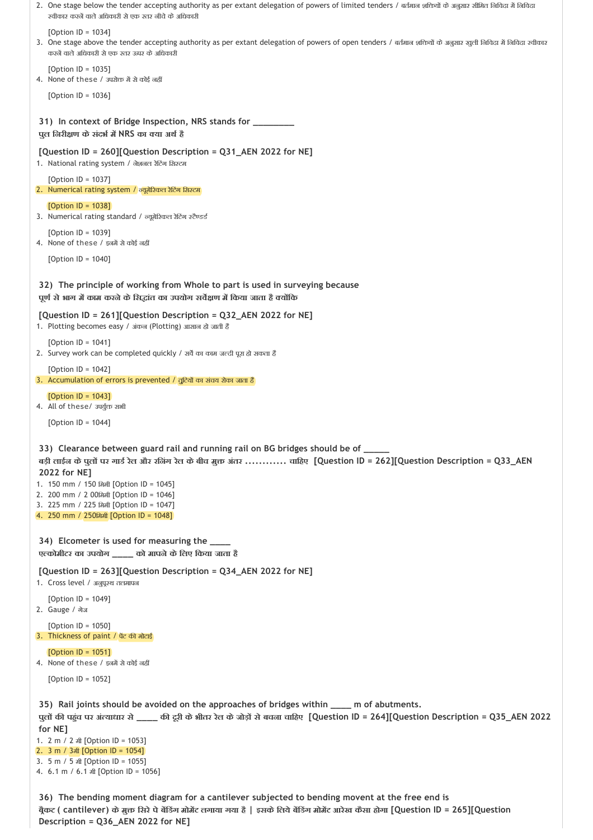```
31) 
In context of Bridge Inspection, NRS stands for ________
 32) 
The principle of working from Whole to part is used in surveying because
 33) 
Clearance between guard rail and running rail on BG bridges should be of _____ 
 34) 
Elcometer is used for measuring the ____
 35) 
Rail joints should be avoided on the approaches of bridges within ____ m of abutments. 
2. One stage below the tender accepting authority as per extant delegation of powers of limited tenders / बर्तमान शक्तियों के अनुसार सीमित निविदा में निविदा
   स्वीकार करनें वाले अधिकारी से एक स्तर नीचे के अधिकारी
   [Option II = 1034]3. One stage above the tender accepting authority as per extant delegation of powers of open tenders / बर्तमान शक्तियों के अनुसार खुली निविदा में निविदा खीकार
   करन वालेअिधकारी सेएक तर ऊपर केअिधकारी
   [Option ID = 1035]
4. None of these / उपरोक्त में से कोई नहीं
   [Option ID = 1036]
पुल िनरी ण केसंदभ म NRS का या अथ है
[Question ID = 260][Question Description = Q31_AEN 2022 for NE]
1. National rating system / नेशनल रेटिंग सिस्टम
   [Option ID = 1037]
2. Numerical rating system / न्यूमेरिकल रेटिंग सिस्टम
   [Option ID = 1038]
3. Numerical rating standard / न्यूमेरिकल रेटिंग स्टैण्डर्ड
   [Option ID = 1039]
4. None of these / इनमें से कोई नहीं
   [Option ID = 1040]
पूण सेभाग म काम करनेकेिस ांत का उपयोग सव ण म िकया जाता है य िक
[Question ID = 261][Question Description = Q32_AEN 2022 for NE]
1. Plotting becomes easy / अंकन (Plotting) आसान हो जाती है
   [Option ID = 1041]
2. Survey work can be completed quickly / सर्वे का काम जल्दी पूरा हो सकता है
   [Option ID = 1042]
3. Accumulation of errors is prevented \sqrt{q}दियों का संचय रोका जाता है
   [<b>Option</b> <math>1D = 10431</math>4. All of these/ उपर्युक्त सभी
   [Option ID = 1044]
बड़ी लाईन केपुल पर गाड रेल और रिनंग रेल केबीच मु अंतर ............ चािहए [Question ID = 262][Question Description = Q33_AEN
2022 for NE]
1. 150 mm / 150 िममी [Option ID = 1045]
2. 200 mm / 2 00िममी [Option ID = 1046]
3. 225 mm / 225 िममी [Option ID = 1047]
4. 250 mm / 250िममी [Option ID = 1048]
ए कोमीटर का उपयोग ____ को मापनेकेिलए िकया जाता है
[Question ID = 263][Question Description = Q34_AEN 2022 for NE]
1. Cross level / अनुपूरथ तलमापन
   [Option ID = 1049]
2. Gauge / गेज
   [Option ID = 1050]
3. Thickness of paint / पेंट की मोटाई
   [Option ID = 1051]
4. None of these / इनमें से कोई नहीं
   [Option ID = 1052]
पुल क पह ंच पर अं याधार से____ क दूरी केभीतर रेल केजोड़ सेबचना चािहए [Question ID = 264][Question Description = Q35_AEN 2022
for NE]
1. 2 m / 2 मी [Option ID = 1053]
2. 3 m / 3मी [Option ID = 1054]
3. 5 m / 5 मी [Option ID = 1055]
4. 6.1 m / 6.1 मी [Option ID = 1056]
```
**36) The bending moment diagram for a cantilever subjected to bending movent at the free end is ब ैकट ( cantilever) केमु िसरेपेब िडंग मोम ट लगाया गया है | इसकेिलयेब िडंग मोम ट आरेख कैसा होगा [Question ID = 265][Question Description = Q36\_AEN 2022 for NE]**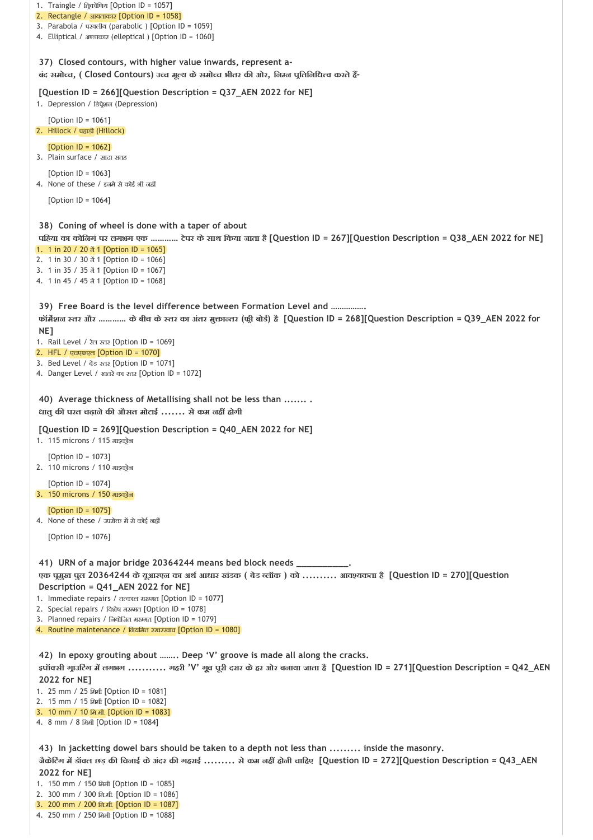**37) Closed contours, with higher value inwards, represent a‐ 38) Coning of wheel is done with a taper of about 39) Free Board is the level difference between Formation Level and ……………. 40) Average thickness of Metallising shall not be less than ....... . 41) URN of a major bridge 20364244 means bed block needs \_\_\_\_\_\_\_\_\_\_. 42) In epoxy grouting about …….. Deep 'V' groove is made all along the cracks. 43) In jacketting dowel bars should be taken to a depth not less than ......... inside the masonry.**  1. Traingle / त्रिकोणिय [Option ID = 1057] 2. Rectangle / आयताकार [Option ID = 1058] 3. Parabola / परवलीय (parabolic ) [Option ID = 1059] 4. Elliptical / अण्डाकार (elleptical ) [Option ID = 1060] **बंद समो च, ( Closed Contours) उ च मू य केसमो च भीतर क ओर, िन न प ितिनिध व करतेह ‐ [Question ID = 266][Question Description = Q37\_AEN 2022 for NE]** 1. Depression / डिप्रे्शन (Depression)  $[Option ID = 1061]$ 2. Hillock / पहाड़ी (Hillock) [Option ID = 1062] 3. Plain surface / सादा सतह [Option ID = 1063] 4. None of these / इनमे से कोई भी नहीं [Option ID = 1064] **पिहया का कोिनगं पर लगभग एक ………… टेपर केसाथ िकया जाता है[Question ID = 267][Question Description = Q38\_AEN 2022 for NE]** 1. 1 in 20 / 20  $\frac{3}{21}$  1 [Option ID = 1065] 2. 1 in 30 / 30  $\frac{3}{21}$  1 [Option ID = 1066] 3. 1 in 35 / 35 में 1 [Option ID = 1067] 4. 1 in 45 / 45  $\frac{3}{2}$  1 [Option ID = 1068] **फॉम शन तर और ………… केबीच के तर का अंतर मु ा तर (फ ी बोड ) है[Question ID = 268][Question Description = Q39\_AEN 2022 for NE]** 1. Rail Level / रेल तर [Option ID = 1069] 2. HFL / एचएफएल [Option ID = 1070] 3. Bed Level / बेड तर [Option ID = 1071] 4. Danger Level / खतरेका तर [Option ID = 1072] **धातुक परत चढ़ानेक औसत मोटाई ....... सेकम नह होगी [Question ID = 269][Question Description = Q40\_AEN 2022 for NE]** 1. 115 microns / 115 माइकोन  $[Option II = 1073]$ 2. 110 microns / 110 माइक्रो़न [Option ID = 1074] 3. 150 microns / 150 माइक्रो़न  $[Option II = 1075]$ 4. None of these / उपरोक्त में से कोई नहीं [Option ID = 1076] **एक प मुख पुल 20364244 केयूआरएन का अथ आधार खंडक ( बेड लॉक ) को .......... आव यकता है[Question ID = 270][Question Description = Q41\_AEN 2022 for NE]** 1. Immediate repairs / तत्काल मरम्मत [Option ID = 1077] 2. Special repairs / विशेष मरम्मत [Option ID = 1078] 3. Planned repairs / नियोजित मरम्मत [Option ID = 1079] 4. Routine maintenance / िनयिमत रखरखाव [Option ID = 1080] इपॉक्सी गूाउटिंग में लगभग ........... गहरी 'V' गूव पूरी दरार के हर ओर बनाया जाता है [Question ID = 271][Question Description = Q42\_AEN **2022 for NE]** 1. 25 mm / 25 िममी [Option ID = 1081] 2. 15 mm / 15 िममी [Option ID = 1082] 3. 10 mm / 10 िम.मी. [Option ID = 1083] 4. 8 mm / 8 िममी [Option ID = 1084] **जैकेिटंग म डॉवल छड़ क िचनाई केअंदर क गहराई ......... सेकम नह होनी चािहए [Question ID = 272][Question Description = Q43\_AEN 2022 for NE]** 1. 150 mm / 150 मिमी [Option ID = 1085] 2. 300 mm / 300 िम.मी. [Option ID = 1086] 3. 200 mm / 200 िम.मी. [Option ID = 1087]

4. 250 mm / 250 िममी [Option ID = 1088]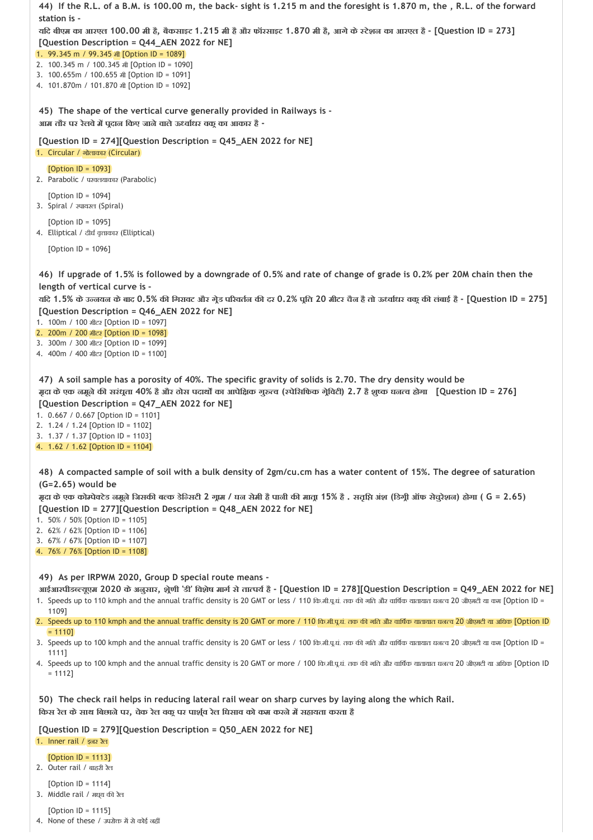| 44) If the R.L. of a B.M. is 100.00 m, the back- sight is 1.215 m and the foresight is 1.870 m, the, R.L. of the forward                                                                                                                                                                                 |
|----------------------------------------------------------------------------------------------------------------------------------------------------------------------------------------------------------------------------------------------------------------------------------------------------------|
| station is -                                                                                                                                                                                                                                                                                             |
| यदि बीएम का आरएल 100.00 मी है, बैकसाइट 1.215 मी है और फॉरसाइट 1.870 मी है, आगे के स्टेशन का आरएल है - [Question ID = 273]                                                                                                                                                                                |
| [Question Description = Q44_AEN 2022 for NE]<br>1. 99.345 m / 99.345 at [Option ID = 1089]                                                                                                                                                                                                               |
| 2. 100.345 m / 100.345 和 [Option ID = 1090]                                                                                                                                                                                                                                                              |
| 3. 100.655m / 100.655 # [Option ID = 1091]                                                                                                                                                                                                                                                               |
| 4. 101.870m / 101.870 $\hat{\pi}$ [Option ID = 1092]                                                                                                                                                                                                                                                     |
| 45) The shape of the vertical curve generally provided in Railways is -<br>आम तौर पर रेलवे में पूदान किए जाने वाले ऊर्ध्वाधर वकू का आकार है -                                                                                                                                                            |
| [Question ID = 274][Question Description = Q45_AEN 2022 for NE]                                                                                                                                                                                                                                          |
| 1. Circular / गोलाकार (Circular)                                                                                                                                                                                                                                                                         |
| [Option $ID = 1093$ ]<br>2. Parabolic / परवलयाकार (Parabolic)                                                                                                                                                                                                                                            |
| [Option ID = $1094$ ]<br>3. Spiral / स्पायस्ल (Spiral)                                                                                                                                                                                                                                                   |
| [Option ID = $1095$ ]<br>4. Elliptical / दीर्घ वृत्ताकार (Elliptical)                                                                                                                                                                                                                                    |
| [Option ID = $1096$ ]                                                                                                                                                                                                                                                                                    |
|                                                                                                                                                                                                                                                                                                          |
| 46) If upgrade of 1.5% is followed by a downgrade of 0.5% and rate of change of grade is 0.2% per 20M chain then the<br>length of vertical curve is -                                                                                                                                                    |
| यदि 1.5% के उन्नयन के बाद 0.5% की गिरावट और गूेड परिवर्तन की दर 0.2% पूति 20 मीटर चैन है तो ऊर्ध्वांधर वकू की लंबाई है - [Question ID = 275]                                                                                                                                                             |
| [Question Description = Q46_AEN 2022 for NE]                                                                                                                                                                                                                                                             |
| 1. 100m / 100 ਗੀਟਣ [Option ID = 1097]<br>2. 200m / 200 मीटर [Option ID = 1098]                                                                                                                                                                                                                           |
| 3. 300m / 300 मीटर [Option ID = 1099]                                                                                                                                                                                                                                                                    |
| 4. 400m / 400 मीटर [Option ID = 1100]                                                                                                                                                                                                                                                                    |
| 47) A soil sample has a porosity of 40%. The specific gravity of solids is 2.70. The dry density would be<br>मृदा के एक नमूने की सरंधूता 40% है और ठोस पदार्थों का आपेक्षिक गुरुत्व (स्पेसिफिक गूेविटी) 2.7 है शुष्क घनत्व होगा [Question ID = 276]                                                      |
| [Question Description = Q47_AEN 2022 for NE]                                                                                                                                                                                                                                                             |
| 1. $0.667 / 0.667$ [Option ID = 1101]                                                                                                                                                                                                                                                                    |
| 2. 1.24 / 1.24 [Option ID = 1102]<br>3. 1.37 / 1.37 [Option ID = 1103]                                                                                                                                                                                                                                   |
| 4. 1.62 / 1.62 [Option ID = 1104]                                                                                                                                                                                                                                                                        |
|                                                                                                                                                                                                                                                                                                          |
| 48) A compacted sample of soil with a bulk density of 2gm/cu.cm has a water content of 15%. The degree of saturation                                                                                                                                                                                     |
| $(G=2.65)$ would be                                                                                                                                                                                                                                                                                      |
| मृदा के एक कोम्पेक्टेड नमूने जिसकी बल्क डेन्सिटी 2 गूमि / घन सेमी है पानी की मातूा 15% है . सतृप्ति अंश (डिगूी ऑफ सेचुरेशन) होगा ( G = 2.65)                                                                                                                                                             |
| [Question ID = 277][Question Description = Q48_AEN 2022 for NE]<br>1. 50% / 50% [Option ID = 1105]                                                                                                                                                                                                       |
| 2. 62% / 62% [Option ID = 1106]                                                                                                                                                                                                                                                                          |
| 3. 67% / 67% [Option ID = 1107]                                                                                                                                                                                                                                                                          |
| 4. 76% / 76% [Option ID = 1108]                                                                                                                                                                                                                                                                          |
|                                                                                                                                                                                                                                                                                                          |
| 49) As per IRPWM 2020, Group D special route means -                                                                                                                                                                                                                                                     |
| आईआरपीडब्ल्यूएम 2020 के अनुसार, श्रेणी 'डी' विशेष मार्ग से तात्पर्य है - [Question ID = 278][Question Description = Q49_AEN 2022 for NE]<br>1. Speeds up to 110 kmph and the annual traffic density is 20 GMT or less / 110 कि.मी.पू.घं. तक की गति और वार्षिक यातायात घनत्व 20 जीएमटी या कम [Option ID = |
| 1109]                                                                                                                                                                                                                                                                                                    |
| 2. Speeds up to 110 kmph and the annual traffic density is 20 GMT or more / 110 कि.सी.पू.घं. तक की गति और वार्षिक यातायात घनत्व 20 जीएमटी या अधिक [Option ID                                                                                                                                             |
| $= 1110$<br>3. Speeds up to 100 kmph and the annual traffic density is 20 GMT or less / 100 कि.मी.पू.घं. तक की गति और वार्षिक यातायात घनत्व 20 जीएमटी या कम [Option ID =                                                                                                                                 |
| 1111]                                                                                                                                                                                                                                                                                                    |
| 4. Speeds up to 100 kmph and the annual traffic density is 20 GMT or more / 100 कि.मी.पू.घं. तक की गति और वार्षिक यातायात घनत्व 20 जीएमटी या अधिक [Option ID<br>$= 1112$                                                                                                                                 |
|                                                                                                                                                                                                                                                                                                          |
| 50) The check rail helps in reducing lateral rail wear on sharp curves by laying along the which Rail.<br>किस रेल के साथ बिछाने पर, चेक रेल वकू पर पार्शुव रेल घिसाव को कम करने में सहायता करता है                                                                                                       |
| [Question ID = 279][Question Description = Q50_AEN 2022 for NE]<br>1. Inner rail / इनर रेल                                                                                                                                                                                                               |
| [Option $ID = 1113$ ]<br>2. Outer rail / बाहरी रेल                                                                                                                                                                                                                                                       |
| [Option ID = 1114]                                                                                                                                                                                                                                                                                       |
| 3. Middle rail / मध्य की रेल                                                                                                                                                                                                                                                                             |
| [Option $ID = 1115$ ]                                                                                                                                                                                                                                                                                    |

4. None of these / उपरोक्त में से कोई नहीं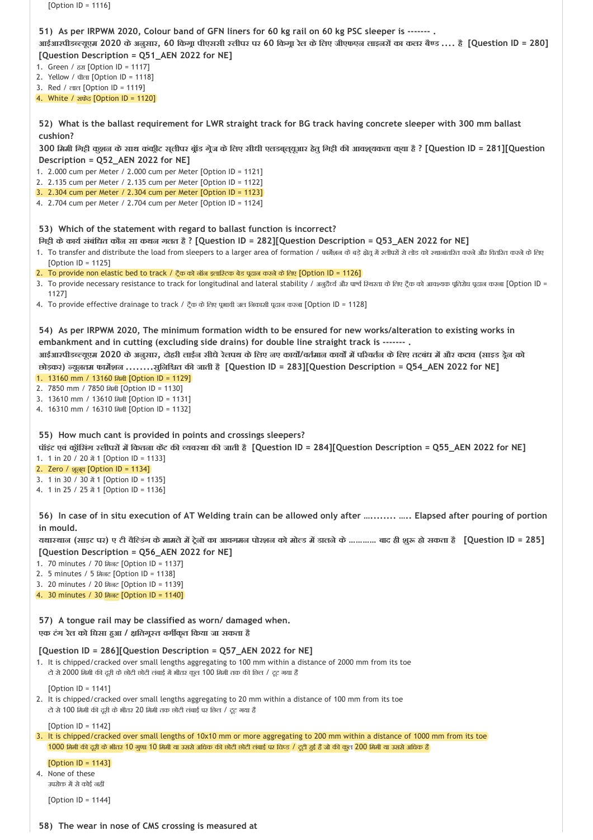| [Option $ID = 1116$ ]                                                                                                                                                                                                                                                                                                                                                                                                                                                                                                                                                                                                                                                                                                                                                                                     |
|-----------------------------------------------------------------------------------------------------------------------------------------------------------------------------------------------------------------------------------------------------------------------------------------------------------------------------------------------------------------------------------------------------------------------------------------------------------------------------------------------------------------------------------------------------------------------------------------------------------------------------------------------------------------------------------------------------------------------------------------------------------------------------------------------------------|
| 51) As per IRPWM 2020, Colour band of GFN liners for 60 kg rail on 60 kg PSC sleeper is -------.<br>आईआरपीडब्ल्यूएम 2020 के अनुसार, 60 किगू। पीएससी स्लीपर पर 60 किगू। रेल के लिए जीएफएन लाइनरों का कलर बैण्ड  है [Question ID = 280]<br>[Question Description = Q51_AEN 2022 for NE]<br>1. Green / $\sqrt{2}$ [Option ID = 1117]<br>2. Yellow / पीला [Option ID = 1118]<br>3. Red / लाल [Option ID = 1119]                                                                                                                                                                                                                                                                                                                                                                                               |
| 4. White / ਸ਼ਾफੇਰ [Option ID = 1120]<br>52) What is the ballast requirement for LWR straight track for BG track having concrete sleeper with 300 mm ballast                                                                                                                                                                                                                                                                                                                                                                                                                                                                                                                                                                                                                                               |
| cushion?<br>300 मिमी गिट्टी कुशन के साथ कंकीट सुलीपर ब्रॉड ग्रेज के लिए सीधी एलडबूलूयुआर हेतु गिट्टी की आवशुयकता कुया है ? [Question ID = 281][Question<br>Description = Q52_AEN 2022 for NE]<br>1. 2.000 cum per Meter / 2.000 cum per Meter [Option ID = 1121]<br>2. 2.135 cum per Meter / 2.135 cum per Meter [Option ID = 1122]<br>3. 2.304 cum per Meter / 2.304 cum per Meter [Option ID = 1123]<br>4. 2.704 cum per Meter / 2.704 cum per Meter [Option ID = 1124]                                                                                                                                                                                                                                                                                                                                 |
| 53) Which of the statement with regard to ballast function is incorrect?<br>गिट्टी के कार्य संबंधित कौन सा कथन गलत है ? [Question ID = 282][Question Description = Q53_AEN 2022 for NE]<br>1. To transfer and distribute the load from sleepers to a larger area of formation / फर्मेशन के बड़े क्षेत्र में स्लीपरों से लोड को स्थानांतरित करने और वितरित करने के लेख<br>[Option $ID = 1125$ ]<br>2. To provide non elastic bed to track / ट्रैक को नॉन इलास्टिक बेड पढ़ान करने के लिए [Option ID = 1126]<br>3. To provide necessary resistance to track for longitudinal and lateral stability / अनुदैर्घ्य और पार्थ श्थिरता के लिए ट्रैक को आवश्यक प्रतिशेध पूदान करना [Option ID =<br>1127]<br>4. To provide effective drainage to track / ट्रैक के लिए पूआवी जल निकासी पूढ़ान करना [Option ID = 1128] |
| 54) As per IRPWM 2020, The minimum formation width to be ensured for new works/alteration to existing works in<br>embankment and in cutting (excluding side drains) for double line straight track is -------.<br>आईआरपीडब्ल्यूएम 2020 के अनुसार, दोहरी लाईन सीधे रेलपथ के लिए नए कार्यों/वर्तमान कार्यों में परिवर्तन के लिए तटबंध में और कटाव (साइड ड्रेन को<br>छोड़कर) न्यूनतम फार्मेशन सुनिश्चित की जाती है [Question ID = 283][Question Description = Q54_AEN 2022 for NE]<br>1. 13160 mm / 13160 闲和 [Option ID = 1129]<br>2. 7850 mm / 7850 闭和 [Option ID = 1130]<br>3. 13610 mm / 13610 闭闭 [Option ID = 1131]<br>4. 16310 mm / 16310 क्रिसी [Option ID = 1132]                                                                                                                                     |
| 55) How much cant is provided in points and crossings sleepers?<br>पॉइंट एवं क्रॉसिंग स्लीपरों में कितना केंट की व्यवस्था की जाती है [Question ID = 284][Question Description = Q55_AEN 2022 for NE]<br>1. 1 in 20 / 20 $\frac{3}{4}$ 1 [Option ID = 1133]<br>2. Zero / शूल्ख [Option ID = 1134]<br>3. 1 in 30 / 30 $\frac{3}{4}$ 1 [Option ID = 1135]<br>4. 1 in 25 / 25 $\frac{3}{2}$ 1 [Option ID = 1136]                                                                                                                                                                                                                                                                                                                                                                                              |
| 56) In case of in situ execution of AT Welding train can be allowed only after   Elapsed after pouring of portion<br>in mould.                                                                                                                                                                                                                                                                                                                                                                                                                                                                                                                                                                                                                                                                            |
| यथास्थान (साइट पर) ए टी वैल्डिंग के मामले में ट्रेनों का आवगमन पोरशन को मोल्ड में डालने के ………… बाद ही शुरू हो सकता है [Question ID = 285]<br>[Question Description = Q56_AEN 2022 for NE]<br>1. 70 minutes / 70 मिलट [Option ID = 1137]<br>2. 5 minutes / 5 मिलट [Option ID = 1138]<br>3. 20 minutes / 20 मिलट [Option ID = 1139]<br>4. 30 minutes / 30 मिलट [Option ID = 1140]                                                                                                                                                                                                                                                                                                                                                                                                                          |
| 57) A tongue rail may be classified as worn/ damaged when.<br>एक टंग रेल को धिसा हुआ / क्षतिगूस्त वर्गीकृत किया जा सकता है                                                                                                                                                                                                                                                                                                                                                                                                                                                                                                                                                                                                                                                                                |
| [Question ID = 286][Question Description = Q57_AEN 2022 for NE]<br>1. It is chipped/cracked over small lengths aggregating to 100 mm within a distance of 2000 mm from its toe<br>टो से 2000 मिमी की दूरी के छोटी छोटी लंबाई में भीतर कुल 100 मिमी तक की छिल / टूट गया है                                                                                                                                                                                                                                                                                                                                                                                                                                                                                                                                 |
| [Option ID = 1141]<br>2. It is chipped/cracked over small lengths aggregating to 20 mm within a distance of 100 mm from its toe<br>टो से 100 मिमी की दूरी के भीतर 20 मिमी तक छोटी लंबाई पर छिल / टूट गया है                                                                                                                                                                                                                                                                                                                                                                                                                                                                                                                                                                                               |
| [Option ID = $1142$ ]<br>3. It is chipped/cracked over small lengths of 10x10 mm or more aggregating to 200 mm within a distance of 1000 mm from its toe<br>1000 मिमी की दूरी के भीतर 10 गुणा 10 मिमी या उससे अधिक की छोटी छोटी तंबाई पर विप्ड / दूटी ढुई है जो की कुत 200 मिमी या उससे अधिक हैं                                                                                                                                                                                                                                                                                                                                                                                                                                                                                                          |
| [Option $ID = 1143$ ]<br>4. None of these<br>उपरोक्त में से कोई नहीं                                                                                                                                                                                                                                                                                                                                                                                                                                                                                                                                                                                                                                                                                                                                      |
| [Option $ID = 1144$ ]                                                                                                                                                                                                                                                                                                                                                                                                                                                                                                                                                                                                                                                                                                                                                                                     |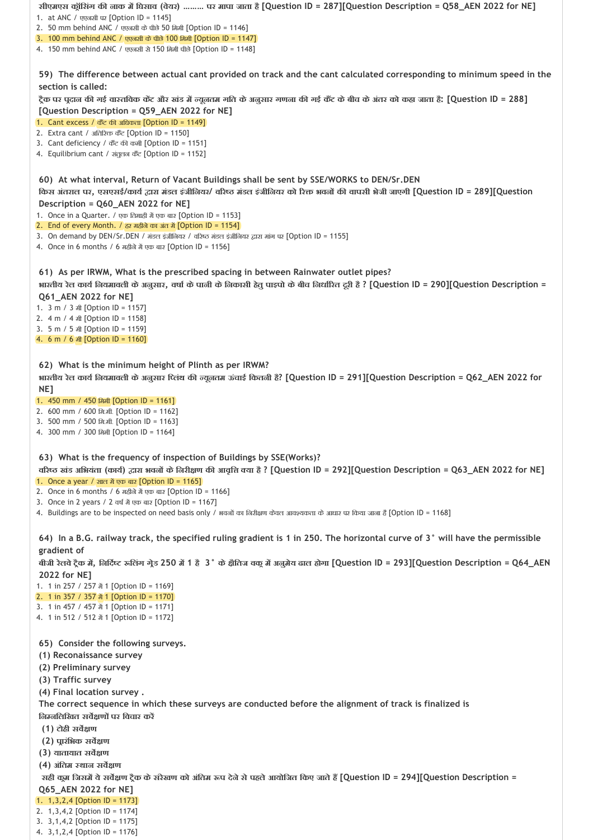**59) The difference between actual cant provided on track and the cant calculated corresponding to minimum speed in the 60) At what interval, Return of Vacant Buildings shall be sent by SSE/WORKS to DEN/Sr.DEN 61) As per IRWM, What is the prescribed spacing in between Rainwater outlet pipes? 62) What is the minimum height of Plinth as per IRWM? 63) What is the frequency of inspection of Buildings by SSE(Works)? 64) In a B.G. railway track, the specified ruling gradient is 1 in 250. The horizontal curve of 3° will have the permissible 65) Consider the following surveys. सीएमएस क ॉिसंग क नाक म िघसाव (वेयर) ……… पर मापा जाता है[Question ID = 287][Question Description = Q58\_AEN 2022 for NE]** 1. at ANC / एएनसी पर [Option ID = 1145] 2. 50 mm behind ANC / एएनसी केपीछे 50 िममी [Option ID = 1146] 3. 100 mm behind ANC / एएनसी केपीछे 100 िममी [Option ID = 1147] 4. 150 mm behind ANC / एएनसी से 150 िममी पीछे[Option ID = 1148] **section is called:**  ट्रैक पर पुदान की गई वास्तविक केंट और खंड में न्यूनतम गति के अनुसार गणना की गई कैंट के बीच के अंतर को कहा जाता है; [Question ID = 288] **[Question Description = Q59\_AEN 2022 for NE]** 1. Cant excess / कैंट की अधिकता *[Option ID = 1149]* 2. Extra cant / अतिरिक्त कैंट [Option ID = 1150] 3. Cant deficiency / कैंट की कमी [Option ID = 1151] 4. Equilibrium cant / संतुलन केंट [Option ID = 1152] किस अंतरात पर, एसएसई/कार्य द्वारा मंडल इंजीलियर/ वरिष्ठ मंडल इंजीलियर को रिक्त भवनों की वापसी भेजी जाएगी [Question ID = 289][Question **Description = Q60\_AEN 2022 for NE]** 1. Once in a Quarter. / एक तिमाही में एक बार [Option ID = 1153] 2. End of every Month. / हर महीने का अंत में [Option ID = 1154] 3. On demand by DEN/Sr.DEN / मंडल इंजीनियर / वरिष्ठ मंडल इंजीनियर द्वारा मांग पर [Option ID = 1155] 4. Once in 6 months / 6 महीने में एक बार [Option ID = 1156] **भारतीय रेल काय िनयमावली केअनुसार, वषा केपानी केिनकासी हेतुपाइपो केबीच िनधा रत दूरी है ? [Question ID = 290][Question Description = Q61\_AEN 2022 for NE]** 1. 3 m / 3 मी [Option ID = 1157] 2. 4 m / 4 मी [Option ID = 1158] 3. 5 m / 5 मी [Option ID = 1159] 4. 6 m / 6 मी [Option ID = 1160] **भारतीय रेल काय िनयमावली केअनुसार ि लंथ क यूनतम ऊंचाई िकतनी है? [Question ID = 291][Question Description = Q62\_AEN 2022 for NE]** 1. 450 mm / 450 मिमी **[Option ID = 1161]** 2. 600 mm / 600 िम.मी. [Option ID = 1162] 3. 500 mm / 500 िम.मी. [Option ID = 1163] 4. 300 mm / 300 िममी [Option ID = 1164] **व र खंड अिभयंता (काय ) ारा भवन केिनरी ण क आवृि या है ? [Question ID = 292][Question Description = Q63\_AEN 2022 for NE]** 1. Once a year / साल में एक बार [Option ID = 1165] 2. Once in 6 months / 6 महीनेम एक बार [Option ID = 1166] 3. Once in 2 years / 2 वर्ष में एक बार [Option ID = 1167] 4. Buildings are to be inspected on need basis only / भवनों का निरीक्षण केवल आवश्यकता के आधार पर किया जाना है [Option ID = 1168] **gradient of**  बीजी रेलवे ट्रैक में, निर्दिष्ट रूलिंग गेड 250 में 1 है 3° के क्षैतिज वक् में अनुमेय ढाल होगा [Question ID = 293][Question Description = Q64\_AEN **2022 for NE]** 1. 1 in 257 / 257 #1 [Option ID = 1169] 2. 1 in 357 / 357 # 1 [Option ID = 1170] 3. 1 in 457 / 457  $\frac{3}{21}$  1 [Option ID = 1171] 4. 1 in 512 / 512 में 1 [Option ID = 1172] **(1) Reconaissance survey (2) Preliminary survey (3) Traffic survey (4) Final location survey . The correct sequence in which these surveys are conducted before the alignment of track is finalized is िन निलिखत सव ण पर िवचार कर (1) टोही सव ण (2) प ारंिभक सव ण (3) यातायात सव ण (4) अंितम थान सव ण सही क म िजसम येसव ण ट ैक केसंरेखण को अंितम प देनेसेपहलेआयोिजत िकए जातेह [Question ID = 294][Question Description = Q65\_AEN 2022 for NE]** 1. 1,3,2,4 [Option ID = 1173] 2. 1,3,4,2 [Option ID = 1174]

3. 3,1,4,2 [Option ID = 1175] 4. 3,1,2,4 [Option ID = 1176]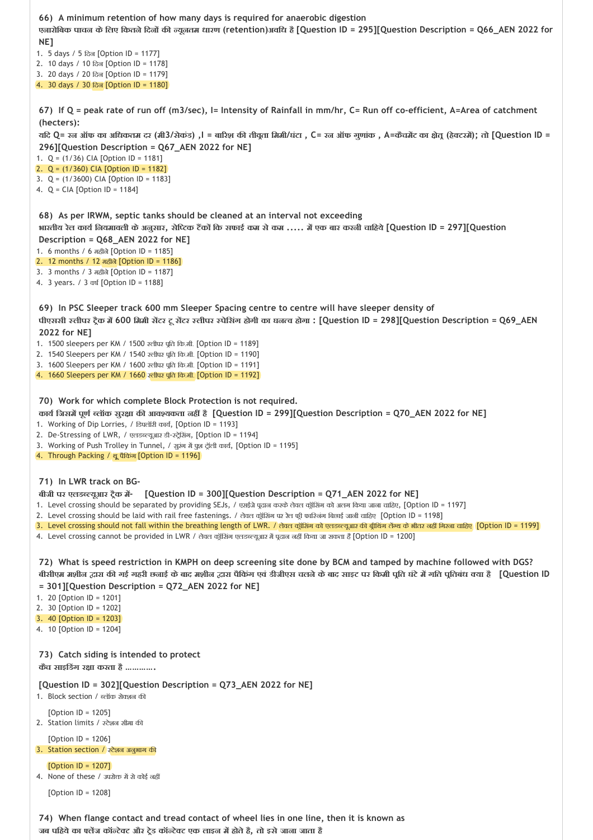**66) A minimum retention of how many days is required for anaerobic digestion 67) If Q = peak rate of run off (m3/sec), I= Intensity of Rainfall in mm/hr, C= Run off co‐efficient, A=Area of catchment 68) As per IRWM, septic tanks should be cleaned at an interval not exceeding 69) In PSC Sleeper track 600 mm Sleeper Spacing centre to centre will have sleeper density of 70) Work for which complete Block Protection is not required. 71) In LWR track on BG‐ 72) What is speed restriction in KMPH on deep screening site done by BCM and tamped by machine followed with DGS? 73) Catch siding is intended to protect 74) When flange contact and tread contact of wheel lies in one line, then it is known as एनारोिबक पाचन केिलए िकतनेिदन क यूनतम धारण (retention)अविध है[Question ID = 295][Question Description = Q66\_AEN 2022 for NE]** 1. 5 days / 5 िदन [Option ID = 1177] 2. 10 days / 10 िदन [Option ID = 1178] 3. 20 days / 20 िदन [Option ID = 1179] 4. 30 days / 30 िदन [Option ID = 1180] **(hecters):**  यदि Q= रन ऑफ का अधिकतम दर (मी3/सेकंड) ,। = बारिश की तीवृता मिमी/घंटा , C= रन ऑफ गूणांक , A=कैचमेंट का क्षेत् (हेक्टरमें); तो [Question ID = **296][Question Description = Q67\_AEN 2022 for NE]** 1. Q = (1/36) CIA [Option ID = 1181] 2. Q = (1/360) CIA [Option ID = 1182] 3. Q = (1/3600) CIA [Option ID = 1183] 4. Q = CIA [Option ID = 1184] भारतीय रेल कार्य नियमावली के अनुसार, सेप्टिक टैंकों कि सफाई कम से कम ..... में एक बार करनी चाहिये [Question ID = 297][Question **Description = Q68\_AEN 2022 for NE]** 1. 6 months / 6 महीले [Option ID = 1185] 2. 12 months / 12 महीने[Option ID = 1186] 3. 3 months / 3 महीने [Option ID = 1187] 4. 3 years. / 3 वष [Option ID = 1188] **पीएससी लीपर ट ैक म 600 िममी स टर टूस टर लीपर पेिसंग होगी का घन व होगा : [Question ID = 298][Question Description = Q69\_AEN 2022 for NE]** 1. 1500 sleepers per KM / 1500 रलीपर पूति कि.मी. [Option ID = 1189] 2. 1540 Sleepers per KM / 1540 रलीपर पूति कि.मी. [Option ID = 1190] 3. 1600 Sleepers per KM / 1600 रुतीपर पूर्ति कि.मी. [Option ID = 1191] 4. 1660 Sleepers per KM / 1660 रतीपर पूर्ति कि.मी. [Option ID = 1192] **काय िजसम पूण लॉक सुर ा क आव यकता नह है[Question ID = 299][Question Description = Q70\_AEN 2022 for NE]** 1. Working of Dip Lorries, / डिपलॉरी कार्य, [Option ID = 1193] 2. De-Stressing of LWR, / एलडब्ल्यूआर डी-स्ट्रेसिंग, [Option ID = 1194] 3. Working of Push Trolley in Tunnel, / सूरंग में पूरा ट्रॉली कार्य, [Option ID = 1195] 4. Through Packing / थ ूपैिकंग [Option ID = 1196] **बीजी पर एलड यूआर ट ैक म ‐ [Question ID = 300][Question Description = Q71\_AEN 2022 for NE]** 1. Level crossing should be separated by providing SEJs, / एसईजे पूढान करके लेवल कूॅसिंग को अलग किया जाना चाहिए, [Option ID = 1197] 2. Level crossing should be laid with rail free fastenings. / लेवल कॉंप्शिंग पर रेल फी फारिजंग बिछाई जानी चाहिए [Option ID = 1198] 3. Level crossing should not fall within the breathing length of LWR. / लेवल क्रूंसिंग को एलडब्ल्यूआर की ब्रीथिंग लेंग्थ के शीतर नहीं गिरना चाहिए [Option ID = 1199] 4. Level crossing cannot be provided in LWR / लेवल क्रूंसिंग एलडब्ल्यूआर में पूदान नहीं किया जा सकता है [Option ID = 1200] बीसीएम मशील द्वारा की गई गहरी छनाई के बाद मशील द्वारा पैकिंग एवं डीजीएस चलने के बाद साइट पर किमी पति घंटे में गति पतिबंध क्या है 【Question ID **= 301][Question Description = Q72\_AEN 2022 for NE]** 1. 20 [Option ID = 1201] 2. 30 [Option ID = 1202] 3. 40 [Option ID = 1203] 4. 10 [Option ID = 1204] **कैच साइिडंग र ा करता है …………. [Question ID = 302][Question Description = Q73\_AEN 2022 for NE]** 1. Block section / ब्लॉक सेक्शन की  $[Option ID = 1205]$ 2. Station limits / टेशन सीमा क [Option ID = 1206] 3. Station section / स्टेशन अनुभाग की [Option ID = 1207] 4. None of these / उपरोक्त में से कोई नहीं [Option ID = 1208]

**जब पिहयेका ल ज कॉ टे ट और ट ेड कॉ टे ट एक लाइन म होतेहै, तो इसेजाना जाता है**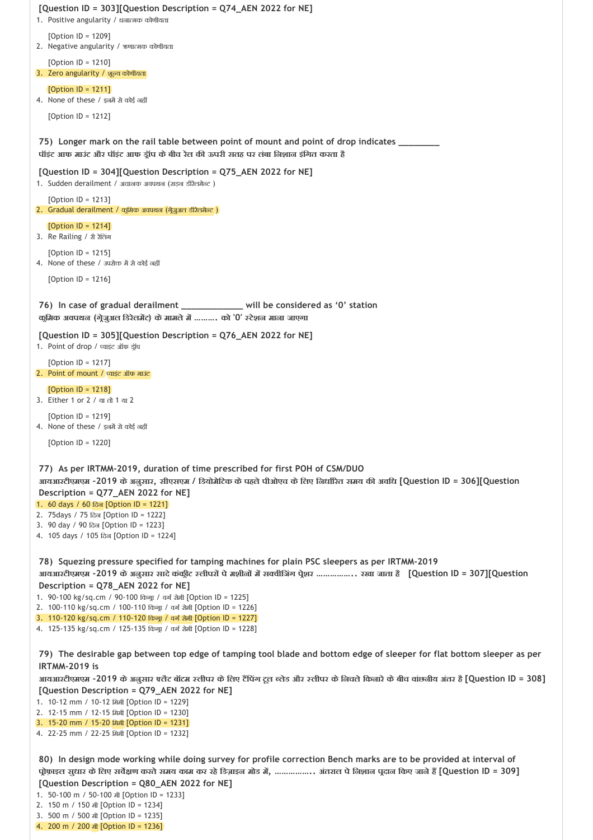```
75) 
Longer mark on the rail table between point of mount and point of drop indicates ________
76) In case of gradual derailment
 77) 
As per IRTMM‐2019, duration of time prescribed for first POH of CSM/DUO 
 78) 
Squezing pressure specified for tamping machines for plain PSC sleepers as per IRTMM‐2019 
 79) 
The desirable gap between top edge of tamping tool blade and bottom edge of sleeper for flat bottom sleeper as per
[Question ID = 303][Question Description = Q74_AEN 2022 for NE]
1. Positive angularity / धनात्मक कोणीयता
   [Option ID = 1209]
2. Negative angularity / ऋणात्मक कोणीयता
   [Option ID = 1210]
3. Zero angularity / शूल्य कोणीयता
   [Option ID = 1211]
4. None of these / इनमें से कोई नहीं
   [Option ID = 1212]
पॉइंट आफ माउंट और पॉइंट आफ ड ॉप केबीच रेल क ऊपरी सतह पर लंबा िनशान इंिगत करता है 
[Question ID = 304][Question Description = Q75_AEN 2022 for NE]
1. Sudden derailment / अचानक अवपथन (सड़न डीरेलमेन्ट)
   [Option ID = 1213]2. Gradual derailment / क्रूमिक अवपथन (ग्रेज़ुअल डीरेलमेन्ट)
   [Option ID = 1214]
3. Re Railing / री रेिलंग
   [Option ID = 1215]
4. None of these / उपरोक्त में से कोई नहीं
   [Option ID = 1216]
                                                 In case of villument will be considered as '0' station
क िमक अवपथन (ग ेजुअल िडरेलम ट) केमामलेम ………. को '0' टेशन माना जाएगा 
[Question ID = 305][Question Description = Q76_AEN 2022 for NE]
1. Point of drop / प्वाइंट ऑफ ड्रॉप
   [Option ID = 1217]
2. Point of mount / वाइंट ऑफ माउंट 
   [Option ID = 1218]
3. Either 1 or 2 / या तो 1 या 2
   [Option ID = 1219]
4. None of these / इनमें से कोई नहीं
   [Option ID = 1220]
आयआरटीएमएम ‐2019 केअनुसार, सीएसएम / िडयोमेिटक केपहलेपीओएच केिलए िनधा रत समय क अविध [Question ID = 306][Question
Description = Q77_AEN 2022 for NE]
1. 60 days / 60 िदन [Option ID = 1221]
2. 75days / 75 िदन [Option ID = 1222]
3. 90 day / 90 िदन [Option ID = 1223]
4. 105 days / 105 िदन [Option ID = 1224]
आयआरटीएमएम ‐2019 केअनुसार सादेकंक ीट लीपर पेमशीन म स वीिजंग प ेशर …………….. रखा जाता है [Question ID = 307][Question
Description = Q78_AEN 2022 for NE]
1. 90-100 kg/sq.cm / 90-100 किंगा / वर्ग सेमी [Option ID = 1225]
2. 100-110 kg/sq.cm / 100-110 किंग्रा / वर्ग सेमी [Option ID = 1226]
3. 110-120 kg/sq.cm / 110-120 किंग्रा / वर्ग सेमी [Option ID = 1227]
4. 125-135 kg/sq.cm / 125-135 किंग्रा / वर्ग सेमी [Option ID = 1228]
IRTMM‐2019 is 
आयआरटीएमएम ‐2019 केअनुसार लैट बॉटम लीपर केिलए ट िपंग टूल लेड और लीपर केिनचलेिकनारेकेबीच वांछनीय अंतर है[Question ID = 308]
[Question Description = Q79_AEN 2022 for NE]
1. 10-12 mm / 10-12 所出 [Option ID = 1229]
2. 12‐15 mm / 12‐15 िममी [Option ID = 1230]
3. 15-20 mm / 15-20 闲和 [Option ID = 1231]
4. 22‐25 mm / 22‐25 िममी [Option ID = 1232]
```
**80) In design mode working while doing survey for profile correction Bench marks are to be provided at interval of**  प्रोफ़ाइल सुधार के लिए सर्वेक्षण करते समय काम कर रहे डिज़ाइन मोड में, …………….. अंतराल पे निशान पूदान किए जाने हैं [Question ID = 309] **[Question Description = Q80\_AEN 2022 for NE]**

1. 50‐100 m / 50‐100 मी [Option ID = 1233]

```
2. 150 m / 150 मी [Option ID = 1234]
```
3. 500 m / 500 मी [Option ID = 1235] 4. 200 m / 200 मी [Option ID = 1236]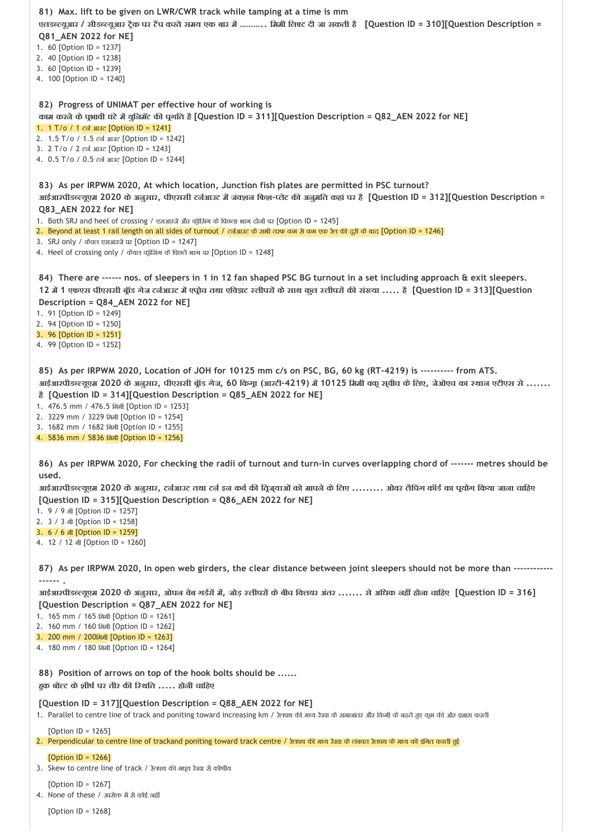```
81) 
Max. lift to be given on LWR/CWR track while tamping at a time is mm 
 82) 
Progress of UNIMAT per effective hour of working is 
 83) 
As per IRPWM 2020, At which location, Junction fish plates are permitted in PSC turnout? 
 84) 
There are ‐‐‐‐‐‐ nos. of sleepers in 1 in 12 fan shaped PSC BG turnout in a set including approach & exit sleepers. 
 85) 
As per IRPWM 2020, Location of JOH for 10125 mm c/s on PSC, BG, 60 kg (RT‐4219) is ‐‐‐‐‐‐‐‐‐‐ from ATS. 
 86) 
As per IRPWM 2020, For checking the radii of turnout and turn‐in curves overlapping chord of ‐‐‐‐‐‐‐ metres should be
 87) 
As per IRPWM 2020, In open web girders, the clear distance between joint sleepers should not be more than ‐‐‐‐‐‐‐‐‐‐‐‐
 88) 
Position of arrows on top of the hook bolts should be ......
एलडब्ल्यूआर / सीडब्ल्यूआर ट्रैक पर टैंप करते समय एक बार में ……….. मिमी लिफ्ट दी जा सकती है [Question ID = 310][Question Description =
Q81_AEN 2022 for NE]
1. 60 [Option ID = 1237]
2. 40 [Option ID = 1238]
3. 60 [Option ID = 1239]
4. 100 [Option ID = 1240]
काम करनेकेप भावी घंटेम युिनमॅट क प गित है[Question ID = 311][Question Description = Q82_AEN 2022 for NE]
1. 1 T/o / 1 टर्न आउट [Option ID = 1241]
2. 1.5 T/o / 1.5 टन आउट [Option ID = 1242]
3. 2 T/o / 2 टन आउट [Option ID = 1243]
4. 0.5 T/o / 0.5 टन आउट [Option ID = 1244]
आईआरपीडब्ल्यूएम 2020 के अनुसार, पीएससी टर्नआउट में जंक्शन फिश-प्लेट की अनुमति कहां पर है [Question ID = 312][Question Description =
Q83_AEN 2022 for NE]
1. Both SRJ and heel of crossing / एसआरजे और क्यूंसिंग के पिछला भाग दोनों पर [Option ID = 1245]
2. Beyond at least 1 rail length on all sides of turnout / टर्नआउट के सभी तरफ कम से कम एक रेल की दूरी के बाद [Option ID = 1246]
3. SRJ only / केवल एसआरजेपर [Option ID = 1247]
4. Heel of crossing only / केवल क्रूंसिंग के पिछले भाग पर [Option ID = 1248]
12 म 1 एफएस पीएससी ब ॉड गेज टन आउट म एप ोच तथा एि झट लीपर केसाथ कुल लीपर क सं या ..... है[Question ID = 313][Question
Description = Q84_AEN 2022 for NE]
1. 91 [Option ID = 1249]
2. 94 [Option ID = 1250]
3. 96 [Option ID = 1251]
4. 99 [Option ID = 1252]
आईआरपीडब्ल्यूएम 2020 के अनुसार, पीएससी ब्रॉड गेज, 60 किगू। (आरटी-4219) में 10125 मिमी वकू सुवीच के लिए, जेओएच का स्थान एटीएस से .......
है[Question ID = 314][Question Description = Q85_AEN 2022 for NE]
1. 476.5 mm / 476.5 िममी [Option ID = 1253]
2. 3229 mm / 3229 िममी [Option ID = 1254]
3. 1682 mm / 1682 िममी [Option ID = 1255]
4. 5836 mm / 5836 िममी [Option ID = 1256]
used. 
आईआरपीडब्ल्यूएम 2020 के अनुसार, टर्नआउट तथा टर्न इन कर्व की त्रिज्ञ्याओं को मापने के लिए ......... ओवर लैंपिंग कॉर्ड का पूयोग किया जाना चाहिए
[Question ID = 315][Question Description = Q86_AEN 2022 for NE]
1. 9 / 9 मी [Option ID = 1257]
2. 3 / 3 मी [Option ID = 1258]
3. 6 / 6 मी [Option ID = 1259]
4. 12 / 12 मी [Option ID = 1260]
‐‐‐‐‐‐ . 
आईआरपीडब्ल्यूएम 2020 के अनुसार, ओपन वेब गर्डरों में, जोड़ स्तीपरों के बीच विलयर अंतर ....... से अधिक नहीं होना चाहिए [Question ID = 316]
[Question Description = Q87_AEN 2022 for NE]
1. 165 mm / 165 िममी [Option ID = 1261]
2. 160 mm / 160 िममी [Option ID = 1262]
3. 200 mm / 200िममी [Option ID = 1263]
4. 180 mm / 180 िममी [Option ID = 1264]
ह क बो ट केशीष पर तीर क ि थित ..... होनी चािहए
[Question ID = 317][Question Description = Q88_AEN 2022 for NE]
1. Parallel to centre line of track and poniting toward increasing km / रेलपथ की मध्य रेखा के समाजांतर और किमी के बढ़ते हुए कूम की ओर इशारा करती
   [Option ID = 1265]2. Perpendicular to centre line of trackand poniting toward track centre / रेलपथ की मध्य रेखा के लंबवत रेलपथ के मध्य को इंगित करती हुई
   [Option ID = 1266]
3. Skew to centre line of track / रेलपथ की मध्य रेखा से कोणीय
   [Option ID = 1267]
```
 $4.$  None of these / उपरोक्त में से कोई नहीं

[Option ID = 1268]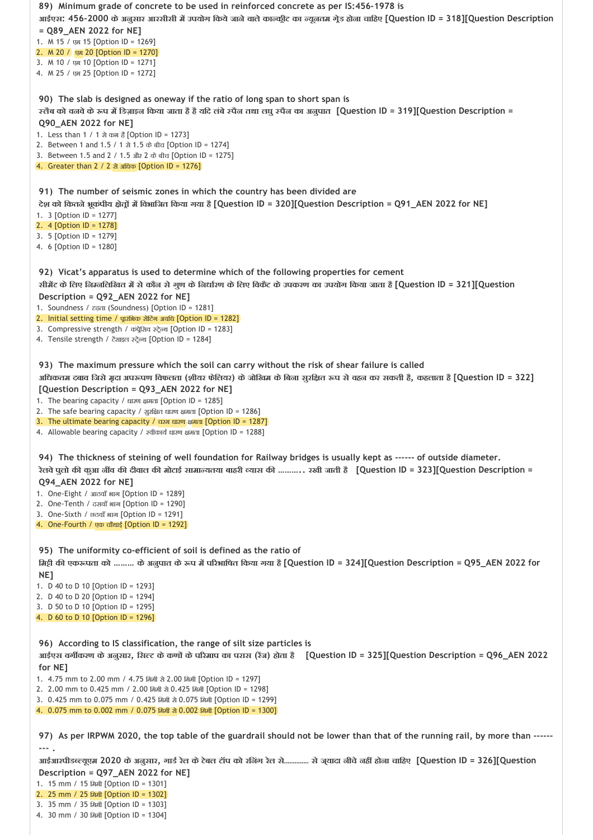| 89) Minimum grade of concrete to be used in reinforced concrete as per IS:456-1978 is<br>आईएस: 456-2000 के अनुसार आरसीसी में उपयोग किये जाने वाले कान्कूीट का न्यूनतम गूेड होना चाहिए [Question ID = 318][Question Description<br>= Q89_AEN 2022 for NE]<br>1. M 15 / एम 15 [Option ID = 1269]<br>2. M 20 / एस 20 [Option ID = 1270]<br>3. М 10 / एम 10 [Option ID = 1271]<br>4. M 25 / एस 25 [Option ID = 1272]                                                                                                                                                                              |
|-----------------------------------------------------------------------------------------------------------------------------------------------------------------------------------------------------------------------------------------------------------------------------------------------------------------------------------------------------------------------------------------------------------------------------------------------------------------------------------------------------------------------------------------------------------------------------------------------|
| 90) The slab is designed as oneway if the ratio of long span to short span is<br>र्ट्तेब को वनवे के रूप में डिज़ाइन किया जाता है है यदि लंबे रपैन तथा तघु रपैन का अनुपात [Question ID = 319][Question Description =<br>Q90_AEN 2022 for NE]<br>1. Less than 1 / 1 ਸ਼ੇ ਰੁਸ਼ है [Option ID = 1273]<br>2. Between 1 and 1.5 / 1 $\dot{x}$ 1.5 $\dot{\sigma}$ बीच [Option ID = 1274]<br>3. Between 1.5 and 2 / 1.5 और 2 के बीच [Option ID = 1275]<br>4. Greater than $2 / 2$ $\overline{x}$ $\overline{x}$ $\overline{x}$ $\overline{y}$ [Option ID = 1276]                                       |
| 91) The number of seismic zones in which the country has been divided are<br>देश को कितने भूकंपीय क्षेत्रों में विभाजित किया गया है [Question ID = 320][Question Description = Q91_AEN 2022 for NE]<br>1. 3 [Option ID = 1277]<br>2. 4 [Option $ID = 1278$ ]<br>3. 5 [Option ID = 1279]<br>4. 6 [Option ID = 1280]                                                                                                                                                                                                                                                                            |
| 92) Vicat's apparatus is used to determine which of the following properties for cement<br>सीमेंट के लिए निम्नलिखित में से कौन से गुण के निर्धारण के लिए विकेंट के उपकरण का उपयोग किया जाता है [Question ID = 321][Question<br>Description = Q92_AEN 2022 for NE]<br>1. Soundness / $\epsilon$ (Soundness) [Option ID = 1281]<br>2. Initial setting time / प्रारंभिक सेटिंग अवधि [Option ID = 1282]<br>3. Compressive strength / कंप्रे्ट्रिव स्ट्रेल्थ [Option ID = 1283]<br>4. Tensile strength / टेंसाइल स्ट्रेल्थ [Option ID = 1284]                                                      |
| 93) The maximum pressure which the soil can carry without the risk of shear failure is called<br>अधिकतम दबाव जिसे मृदा अपरूपण विफलता (शीयर फेलियर) के जोखिम के बिना सुरक्षित रूप से वहन कर सकती है, कहलाता है [Question ID = 322]<br>[Question Description = Q93_AEN 2022 for NE]<br>1. The bearing capacity / धारण क्षमता [Option ID = 1285]<br>2. The safe bearing capacity / अरक्षित धारण क्षमता [Option ID = 1286]<br>3. The ultimate bearing capacity / $\overline{ax}$ and $\overline{ax}$ [Option ID = 1287]<br>4. Allowable bearing capacity / $z$ dore tural grad [Option ID = 1288] |
| 94) The thickness of steining of well foundation for Railway bridges is usually kept as ------ of outside diameter.<br>रेलवे पुलो की कुआ नींव की दीवाल की मोटाई सामान्यतया बाहरी व्यास की ……… रखी जाती है [Question ID = 323][Question Description =<br>Q94_AEN 2022 for NE]<br>1. One-Eight / $\sqrt{3}$ अाठवाँ भाग [Option ID = 1289]<br>2. One-Tenth / दसवाँ भाग [Option ID = 1290]<br>3. One-Sixth / छठवाँ आग [Option ID = 1291]<br>4. One-Fourth / एक चौथाई [Option ID = 1292]                                                                                                           |
| 95) The uniformity co-efficient of soil is defined as the ratio of<br>मिट्टी की एकरूपता को  के अनुपात के रूप में परिभाषित किया गया है [Question ID = 324][Question Description = Q95_AEN 2022 for<br>NE]<br>1. D 40 to D 10 [Option ID = 1293]<br>2. D 40 to D 20 [Option ID = 1294]<br>3. D 50 to D 10 [Option ID = 1295]<br>4. D 60 to D 10 [Option ID = 1296]                                                                                                                                                                                                                              |
| 96) According to IS classification, the range of silt size particles is<br>आईएस वर्गीकरण के अनुसार, सिल्ट के कणों के परिमाप का परास (रेंज) होता है [Question ID = 325][Question Description = Q96_AEN 2022<br>for NE]<br>1. 4.75 mm to 2.00 mm / 4.75 ਸ਼ਿਸ਼ੀ ਲੇ 2.00 ਸ਼ਿਸ਼ੀ [Option ID = 1297]<br>2. 2.00 mm to 0.425 mm / 2.00 ਸ਼ਿਸ਼ੀ ਲੇ 0.425 ਸ਼ਿਸ਼ੀ [Option ID = 1298]<br>3. 0.425 mm to 0.075 mm / 0.425 ਸ਼ਿਸ਼ੀ ਏ 0.075 ਸ਼ਿਸ਼ੀ [Option ID = 1299]<br>4. 0.075 mm to 0.002 mm / 0.075 ਸ਼ਿਸ਼ੀ ਏ 0.002 ਸ਼ਿਸ਼ੀ [Option ID = 1300]                                                             |
| 97) As per IRPWM 2020, the top table of the guardrail should not be lower than that of the running rail, by more than ------<br>--- .                                                                                                                                                                                                                                                                                                                                                                                                                                                         |
| आईआरपीडब्ल्यूएम 2020 के अनुसार, गार्ड रेल के टेबल टॉप को रनिंग रेल से…………… से जुयादा नीचे नहीं होना चाहिए [Question ID = 326][Question<br>Description = Q97_AEN 2022 for NE]<br>1. 15 mm / 15 闲和 [Option ID = 1301]<br>2. 25 mm / 25 所和 [Option ID = 1302]                                                                                                                                                                                                                                                                                                                                    |

3. 35 mm / 35 िममी [Option ID = 1303] 4. 30 mm / 30 िममी [Option ID = 1304]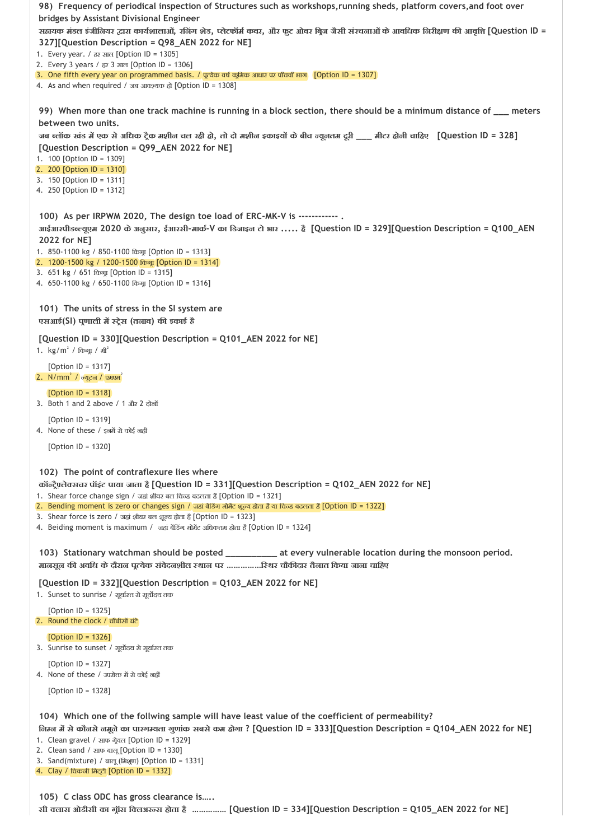| 98) Frequency of periodical inspection of Structures such as workshops, running sheds, platform covers, and foot over                                                                               |
|-----------------------------------------------------------------------------------------------------------------------------------------------------------------------------------------------------|
| bridges by Assistant Divisional Engineer<br>सहायक मंडल इंजीनियर द्वारा कार्यशालाओं, रनिंग शेड, प्लेटफॉर्म कवर, और फुट ओवर बिज जैसी संरचनाओं के आवधिक निरीक्षण की आवृत्ति [Question ID =             |
| 327][Question Description = Q98_AEN 2022 for NE]                                                                                                                                                    |
| 1. Every year. / ਨੁਝ ਬਾਰ [Option ID = 1305]                                                                                                                                                         |
| 2. Every 3 years / ਨੁਝ 3 ਸ਼ਾਨ [Option ID = 1306]<br>3. One fifth every year on programmed basis. / पूत्थेक वर्ष कूमिक आधार पर पाँचवाँ भाग [Option ID = 1307]                                        |
| 4. As and when required / जब आवश्यक हो [Option ID = 1308]                                                                                                                                           |
| 99) When more than one track machine is running in a block section, there should be a minimum distance of ___ meters                                                                                |
| between two units.                                                                                                                                                                                  |
| जब ब्लॉक खंड में एक से अधिक ट्रैक मशीन चल रही हो, तो दो मशीन इकाइयों के बीच न्यूनतम दूरी ___ मीटर होनी चाहिए 【Question ID = 328】<br>[Question Description = Q99_AEN 2022 for NE]                    |
| 1. 100 [Option ID = 1309]                                                                                                                                                                           |
| 2. 200 [Option $ID = 1310$ ]<br>3. 150 [Option ID = 1311]                                                                                                                                           |
| 4. 250 [Option ID = 1312]                                                                                                                                                                           |
|                                                                                                                                                                                                     |
| 100) As per IRPWM 2020, The design toe load of ERC-MK-V is ------------ .<br>आईआरपीडब्ल्यूएम 2020 के अनुसार, ईआरसी-मार्क-V का डिजाइन टो भार  है [Question ID = 329][Question Description = Q100_AEN |
| 2022 for NE]                                                                                                                                                                                        |
| 1. 850-1100 kg / 850-1100 மினூ [Option ID = 1313]                                                                                                                                                   |
| 2. 1200-1500 kg / 1200-1500 மேனு [Option ID = 1314]<br>3. 651 kg / 651 மினூ [Option ID = 1315]                                                                                                      |
| 4. 650-1100 kg / 650-1100 किंग्रा [Option ID = 1316]                                                                                                                                                |
| 101) The units of stress in the SI system are                                                                                                                                                       |
| एसआई(SI) पूणाली में स्ट्रेस (तलाव) की इकाई है                                                                                                                                                       |
| [Question ID = 330][Question Description = Q101_AEN 2022 for NE]<br>1. $\text{kg/m}^2$ / किंग्रा / मी <sup>2</sup>                                                                                  |
| [Option $ID = 1317$ ]<br>2. $N/mm2$ / $\sigma$ यूटन / एमएम $2$                                                                                                                                      |
| [Option $ID = 1318$ ]<br>3. Both 1 and 2 above / 1 और 2 दोनों                                                                                                                                       |
| [Option ID = $1319$ ]<br>4. None of these / इलमें से कोई नहीं                                                                                                                                       |
| [Option $ID = 1320$ ]                                                                                                                                                                               |
| 102) The point of contraflexure lies where                                                                                                                                                          |
| कॉल्ट्रैफ़्लेक्सचर पॉइंट पाया जाता है [Question ID = 331][Question Description = Q102_AEN 2022 for NE]                                                                                              |
| 1. Shear force change sign / जहां शीयर बल चिन्ह बदलता है [Option ID = 1321]<br>2. Bending moment is zero or changes sign / जहां बेंडिंग मोमेंट शूल्य होता है या चिल्ह बदलता हैं [Option ID = 1322]  |
| 3. Shear force is zero / जहां शीयर बल शूल्य होता है [Option ID = 1323]                                                                                                                              |
| 4. Beiding moment is maximum / जड़ां बेंडिंग मोमेंट अधिकतम होता है [Option ID = 1324]                                                                                                               |
| 103) Stationary watchman should be posted __________ at every vulnerable location during the monsoon period.                                                                                        |
| मानसून की अवधि के दौरान पूत्येक संवेदनशील स्थान पर रिथर चौकीदार तैनात किया जाना चाहिए                                                                                                               |
| [Question ID = 332][Question Description = Q103_AEN 2022 for NE]<br>1. Sunset to sunrise / सूर्यास्त से सूर्योदय तक                                                                                 |
| [Option $ID = 1325$ ]<br>2. Round the clock / चौबीओं घंटे                                                                                                                                           |
| [Option ID = $1326$ ]<br>3. Sunrise to sunset / सूर्योदय से सूर्यास्त तक                                                                                                                            |
| [Option $ID = 1327$ ]<br>4. None of these / उपरोक्त में से कोई नहीं                                                                                                                                 |
| [Option ID = $1328$ ]                                                                                                                                                                               |
| 104) Which one of the follwing sample will have least value of the coefficient of permeability?                                                                                                     |
| जिम्न में से कौनसे नमूने का पारगम्यता गुणांक सबसे कम होगा ? [Question ID = 333][Question Description = Q104_AEN 2022 for NE]                                                                        |
| 1. Clean gravel / साफ ग्रेयल [Option ID = 1329]                                                                                                                                                     |
| 2. Clean sand / साफ बालू [Option ID = 1330]<br>3. Sand(mixture) / बालू (मिशूण) [Option ID = 1331]                                                                                                   |
| 4. Clay / चिकनी मिट्टी [Option ID = 1332]                                                                                                                                                           |

**105) C class ODC has gross clearance is….. सी लास ओडीसी का ग ॉस ि लअर स होता है …………… [Question ID = 334][Question Description = Q105\_AEN 2022 for NE]**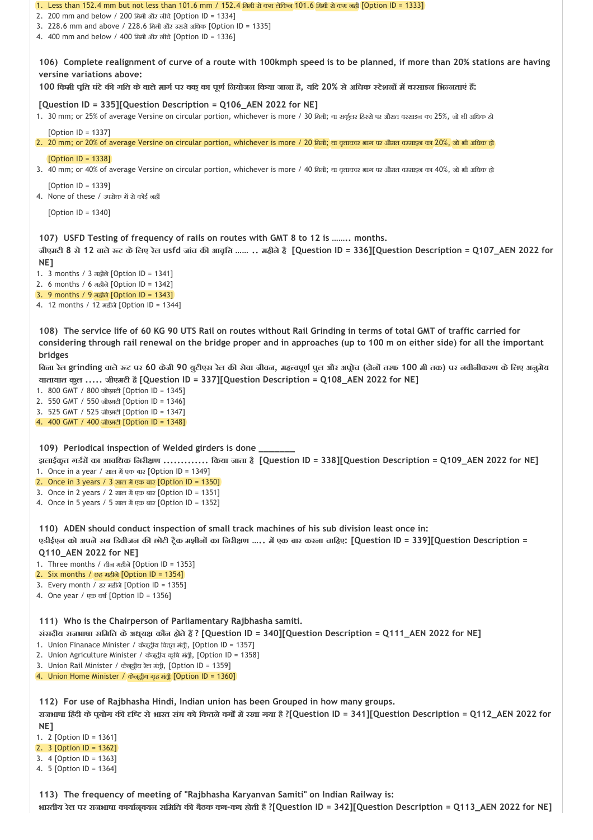| 1. Less than 152.4 mm but not less than 101.6 mm / 152.4 क्रियी से कम लेकिन 101.6 कियी से कम नहीं [Option ID = 1333]<br>2. 200 mm and below / 200 ਸ਼ਿਸ਼ੀ और ਗੀਕੇ [Option ID = 1334]<br>3. 228.6 mm and above / 228.6 मिमी और उससे अधिक [Option ID = 1335]<br>4. 400 mm and below / 400 ਸਿਸੀ और ਕੀਕੇ [Option ID = 1336]                                                                                                                                                             |
|------------------------------------------------------------------------------------------------------------------------------------------------------------------------------------------------------------------------------------------------------------------------------------------------------------------------------------------------------------------------------------------------------------------------------------------------------------------------------------|
| 106) Complete realignment of curve of a route with 100kmph speed is to be planned, if more than 20% stations are having<br>versine variations above:<br>100 किमी पूति घंटे की गति के वाले मार्ग पर वकू का पूर्ण नियोजन किया जाना है, यदि 20% से अधिक स्टेशनों में वरसाइन भिन्नताएं हैं:                                                                                                                                                                                            |
| [Question ID = 335][Question Description = Q106_AEN 2022 for NE]<br>1. 30 mm; or 25% of average Versine on circular portion, whichever is more / 30 ਸਿਸੀ; ਗ ਸ਼ਰ੍ਨਰ ਇਣਸ਼ੇ ਧਟ ਗੈਸ਼ਰ ਹਟਸ਼ਵਰ ਹਰ 25%, जो भी अधिक हो                                                                                                                                                                                                                                                                     |
| [Option $ID = 1337$ ]<br>2. 20 mm; or 20% of average Versine on circular portion, whichever is more / 20 मिमी; या वृत्ताकार भाग पर औसत वरसाइन का 20%, जो भी अधिक ढो                                                                                                                                                                                                                                                                                                                |
| [Option $ID = 1338$ ]<br>3. 40 mm; or 40% of average Versine on circular portion, whichever is more / 40 मिमी; या वृत्ताकार भाग पर औसत वरसाइन का 40%, जो भी अधिक हो                                                                                                                                                                                                                                                                                                                |
| [Option ID = 1339]<br>4. None of these / उपरोक्त में से कोई नहीं                                                                                                                                                                                                                                                                                                                                                                                                                   |
| [Option ID = $1340$ ]                                                                                                                                                                                                                                                                                                                                                                                                                                                              |
| 107) USFD Testing of frequency of rails on routes with GMT 8 to 12 is  months.<br>जीएमटी 8 से 12 वाले रूट के लिए रेल usfd जांच की आवृत्ति   महीने है [Question ID = 336][Question Description = Q107_AEN 2022 for<br>NE1<br>1. 3 months / 3 ਸਫ਼ੀਕੇ [Option ID = 1341]<br>2. 6 months / 6 ਸਫ਼ੀਕੇ [Option ID = 1342]                                                                                                                                                                 |
| 3. 9 months / 9 ਸ਼ਨੀਕੋ [Option ID = 1343]<br>4. 12 months / 12 ਸਫ਼ੀਕੇ [Option ID = 1344]                                                                                                                                                                                                                                                                                                                                                                                           |
| 108) The service life of 60 KG 90 UTS Rail on routes without Rail Grinding in terms of total GMT of traffic carried for<br>considering through rail renewal on the bridge proper and in approaches (up to 100 m on either side) for all the important<br>bridges                                                                                                                                                                                                                   |
| बिना रेल grinding वाले रूट पर 60 केजी 90 युटीएस रेल की सेवा जीवन, महत्त्वपूर्ण पुल और अप्रोच (दोनों तरफ 100 मी तक) पर नवीनीकरण के लिए अनुमेय<br>यातायात कूल  जीएमटी है [Question ID = 337][Question Description = Q108_AEN 2022 for NE]<br>1. 800 GMT / 800 जीएमटी [Option ID = 1345]<br>2. 550 GMT / 550 जीएमटी [Option ID = 1346]<br>3. 525 GMT / 525 जीएमटी [Option ID = 1347]<br>4. 400 GMT / 400 जीएमटी [Option ID = 1348]                                                    |
| 109) Periodical inspection of Welded girders is done _______<br>झलाईकृत गर्डरों का आवधिक निरीक्षण  किया जाता है [Question ID = 338][Question Description = Q109_AEN 2022 for NE]<br>1. Once in a year / साल में एक बार [Option ID = 1349]<br>2. Once in 3 years / $3 \text{ and } x$ एक बार [Option ID = 1350]<br>3. Once in 2 years / 2 शाल में एक बार [Option ID = 1351]<br>4. Once in 5 years / 5 साल में एक बार [Option ID = 1352]                                             |
| 110) ADEN should conduct inspection of small track machines of his sub division least once in:<br>एडीईएन को अपने सब डिवीजन की छोटी ट्रैक मशीनों का निरीक्षण … में एक बार करना चाहिए: [Question ID = 339][Question Description =<br>Q110_AEN 2022 for NE]<br>1. Three months / तीज ਸ਼ਣੀਕੇ [Option ID = 1353]<br>2. Six months / छह महीले [Option ID = 1354]<br>3. Every month / ਨੁ ਸਰੀਕੇ [Option ID = 1355]<br>4. One year / एक वर्ष [Option ID = 1356]                             |
| 111) Who is the Chairperson of Parliamentary Rajbhasha samiti.<br>संसदीय राजभाषा समिति के अध्यक्ष कौन होते हैं ? [Question ID = 340][Question Description = Q111_AEN 2022 for NE]<br>1. Union Finanace Minister / केन्द्रीय वित्त मंत्री, [Option ID = 1357]<br>2. Union Agriculture Minister / केन्द्रीय कृषि मंत्री, [Option ID = 1358]<br>3. Union Rail Minister / केन्द्रीय रेल मंत्री, [Option ID = 1359]<br>4. Union Home Minister / केन्द्रीय गृह मंत्री [Option ID = 1360] |
| 112) For use of Rajbhasha Hindi, Indian union has been Grouped in how many groups.<br>राजभाषा हिंदी के पूयोग की दृष्टि से भारत संघ को कितने वर्गों में रखा गया है ?[Question ID = 341][Question Description = Q112_AEN 2022 for<br>NE1<br>1. 2 [Option ID = 1361]<br>2. 3 [Option $ID = 1362$ ]<br>3. 4 [Option ID = 1363]<br>4. 5 [Option ID = 1364]                                                                                                                              |

**113) The frequency of meeting of "Rajbhasha Karyanvan Samiti" on Indian Railway is:**

**भारतीय रेल पर राजभाषा काया न्वयन सिमित क बैठक कब‐कब होती है ?[Question ID = 342][Question Description = Q113\_AEN 2022 for NE]**